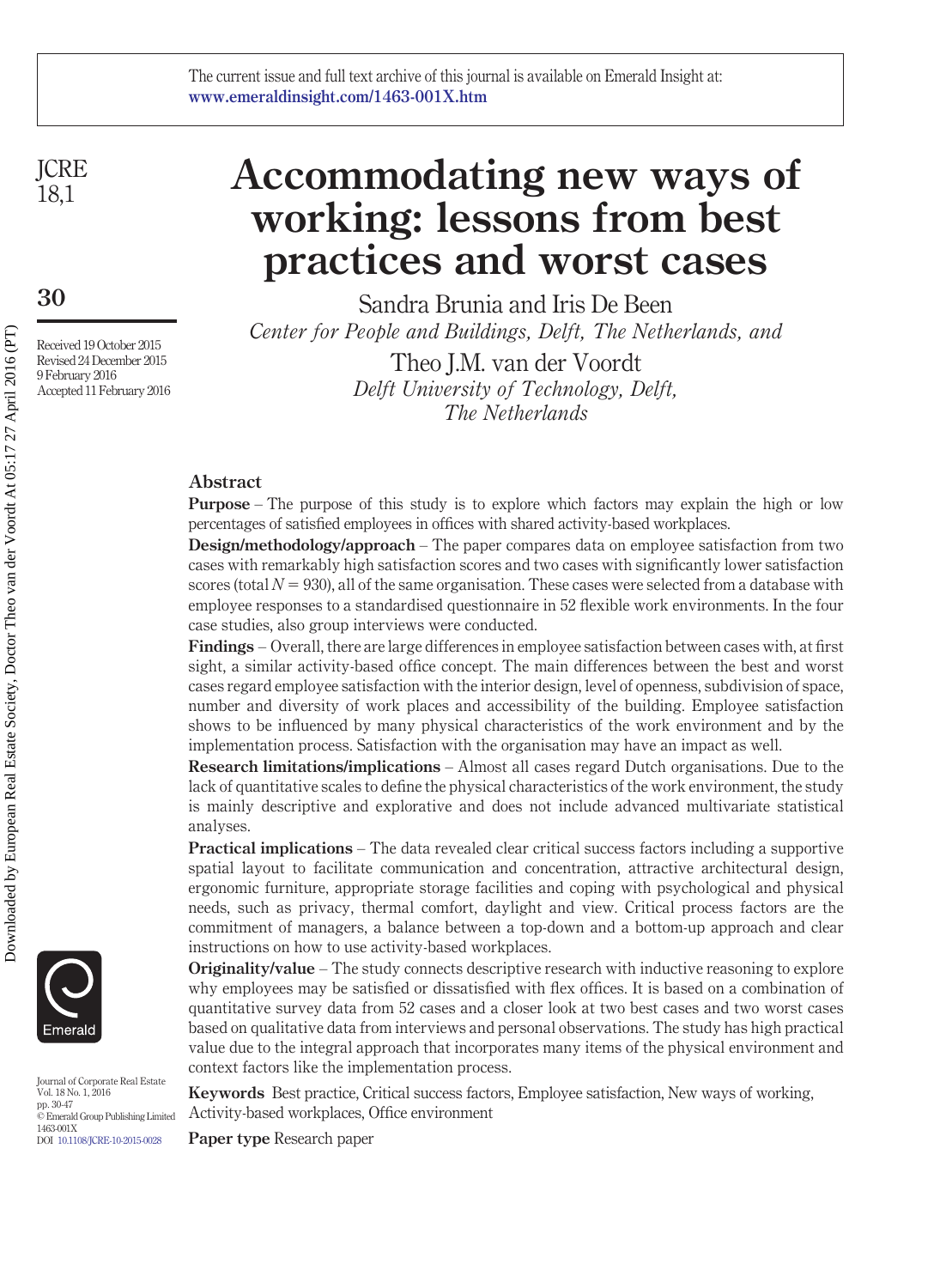**ICRE** 18,1

**30**

Received 19 October 2015 Revised 24 December 2015 9 February 2016 Accepted 11 February 2016

# **Accommodating new ways of working: lessons from best practices and worst cases**

Sandra Brunia and Iris De Been *Center for People and Buildings, Delft, The Netherlands, and*

> Theo J.M. van der Voordt *Delft University of Technology, Delft, The Netherlands*

## **Abstract**

**Purpose** – The purpose of this study is to explore which factors may explain the high or low percentages of satisfied employees in offices with shared activity-based workplaces.

**Design/methodology/approach** – The paper compares data on employee satisfaction from two cases with remarkably high satisfaction scores and two cases with significantly lower satisfaction  $\alpha$  scores (total  $N = 930$ ), all of the same organisation. These cases were selected from a database with employee responses to a standardised questionnaire in 52 flexible work environments. In the four case studies, also group interviews were conducted.

**Findings** – Overall, there are large differences in employee satisfaction between cases with, at first sight, a similar activity-based office concept. The main differences between the best and worst cases regard employee satisfaction with the interior design, level of openness, subdivision of space, number and diversity of work places and accessibility of the building. Employee satisfaction shows to be influenced by many physical characteristics of the work environment and by the implementation process. Satisfaction with the organisation may have an impact as well.

**Research limitations/implications** – Almost all cases regard Dutch organisations. Due to the lack of quantitative scales to define the physical characteristics of the work environment, the study is mainly descriptive and explorative and does not include advanced multivariate statistical analyses.

**Practical implications** – The data revealed clear critical success factors including a supportive spatial layout to facilitate communication and concentration, attractive architectural design, ergonomic furniture, appropriate storage facilities and coping with psychological and physical needs, such as privacy, thermal comfort, daylight and view. Critical process factors are the commitment of managers, a balance between a top-down and a bottom-up approach and clear instructions on how to use activity-based workplaces.

**Originality/value** – The study connects descriptive research with inductive reasoning to explore why employees may be satisfied or dissatisfied with flex offices. It is based on a combination of quantitative survey data from 52 cases and a closer look at two best cases and two worst cases based on qualitative data from interviews and personal observations. The study has high practical value due to the integral approach that incorporates many items of the physical environment and context factors like the implementation process.

**Keywords** Best practice, Critical success factors, Employee satisfaction, New ways of working, Activity-based workplaces, Office environment

**Paper type** Research paper



Journal of Corporate Real Estate Vol. 18 No. 1, 2016 pp. 30-47 © Emerald Group Publishing Limited 1463-001X DOI [10.1108/JCRE-10-2015-0028](http://dx.doi.org/10.1108/JCRE-10-2015-0028)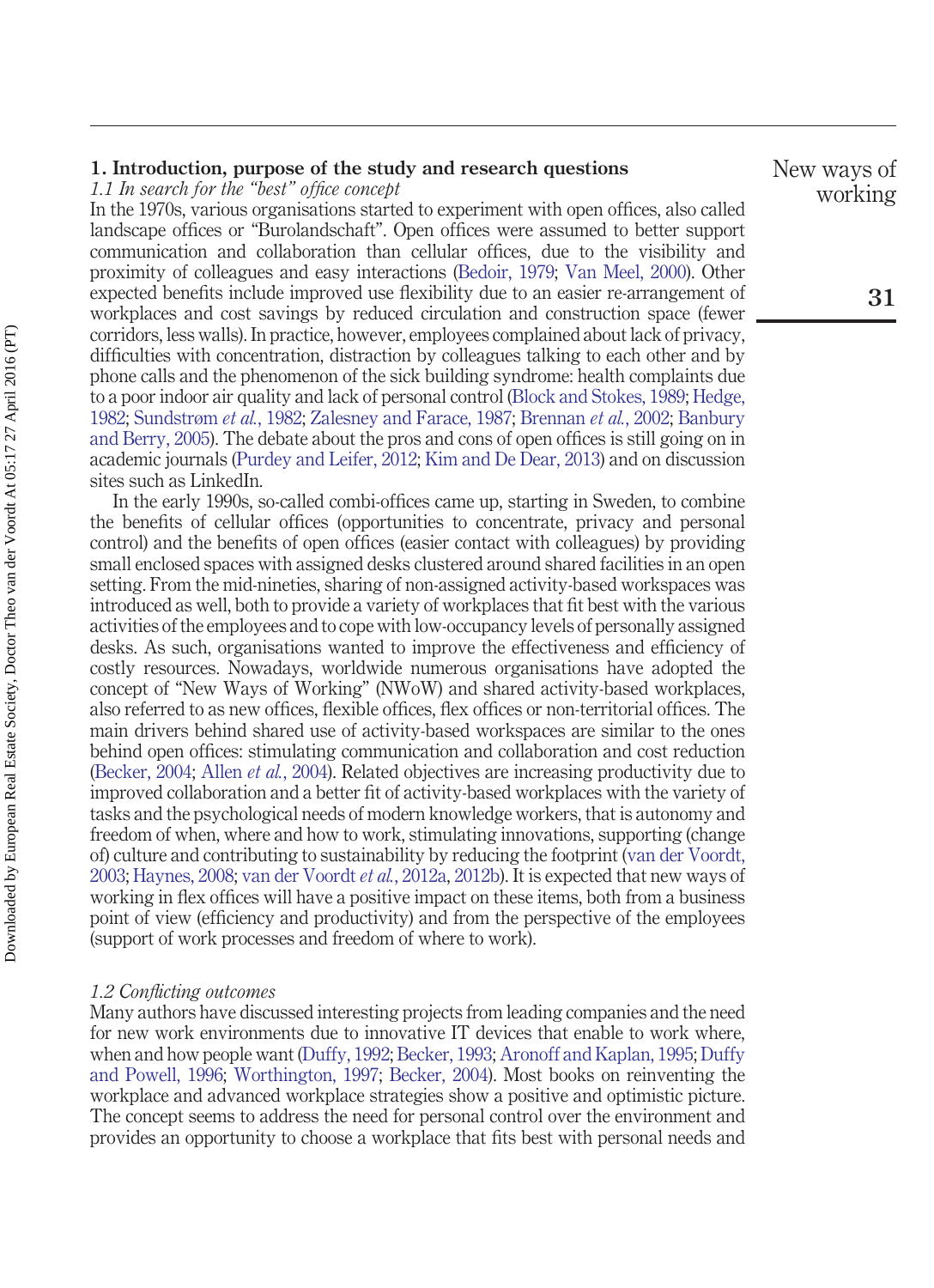## **1. Introduction, purpose of the study and research questions**

*1.1 In search for the "best" office concept*

In the 1970s, various organisations started to experiment with open offices, also called landscape offices or "Burolandschaft". Open offices were assumed to better support communication and collaboration than cellular offices, due to the visibility and proximity of colleagues and easy interactions [\(Bedoir, 1979;](#page-15-0) [Van Meel, 2000\)](#page-17-0). Other expected benefits include improved use flexibility due to an easier re-arrangement of workplaces and cost savings by reduced circulation and construction space (fewer corridors, less walls). In practice, however, employees complained about lack of privacy, difficulties with concentration, distraction by colleagues talking to each other and by phone calls and the phenomenon of the sick building syndrome: health complaints due to a poor indoor air quality and lack of personal control [\(Block and Stokes, 1989;](#page-15-1) [Hedge,](#page-16-0) [1982;](#page-16-0) [Sundstrøm](#page-16-1) *et al.*, 1982; [Zalesney and Farace, 1987;](#page-17-1) [Brennan](#page-15-2) *et al.*, 2002; [Banbury](#page-15-3) [and Berry, 2005\)](#page-15-3). The debate about the pros and cons of open offices is still going on in academic journals [\(Purdey and Leifer, 2012;](#page-16-2) [Kim and De Dear, 2013\)](#page-16-3) and on discussion sites such as LinkedIn.

In the early 1990s, so-called combi-offices came up, starting in Sweden, to combine the benefits of cellular offices (opportunities to concentrate, privacy and personal control) and the benefits of open offices (easier contact with colleagues) by providing small enclosed spaces with assigned desks clustered around shared facilities in an open setting. From the mid-nineties, sharing of non-assigned activity-based workspaces was introduced as well, both to provide a variety of workplaces that fit best with the various activities of the employees and to cope with low-occupancy levels of personally assigned desks. As such, organisations wanted to improve the effectiveness and efficiency of costly resources. Nowadays, worldwide numerous organisations have adopted the concept of "New Ways of Working" (NWoW) and shared activity-based workplaces, also referred to as new offices, flexible offices, flex offices or non-territorial offices. The main drivers behind shared use of activity-based workspaces are similar to the ones behind open offices: stimulating communication and collaboration and cost reduction [\(Becker, 2004;](#page-15-4) Allen *et al.*[, 2004\)](#page-14-0). Related objectives are increasing productivity due to improved collaboration and a better fit of activity-based workplaces with the variety of tasks and the psychological needs of modern knowledge workers, that is autonomy and freedom of when, where and how to work, stimulating innovations, supporting (change of) culture and contributing to sustainability by reducing the footprint [\(van der Voordt,](#page-16-4) [2003;](#page-16-4) [Haynes, 2008;](#page-16-5) [van der Voordt](#page-16-6) *et al.*, 2012a, [2012b\)](#page-17-2). It is expected that new ways of working in flex offices will have a positive impact on these items, both from a business point of view (efficiency and productivity) and from the perspective of the employees (support of work processes and freedom of where to work).

## *1.2 Conflicting outcomes*

Many authors have discussed interesting projects from leading companies and the need for new work environments due to innovative IT devices that enable to work where, when and how people want [\(Duffy, 1992;](#page-15-5) [Becker, 1993;](#page-15-6) [Aronoff and Kaplan, 1995;](#page-15-7) [Duffy](#page-15-8) [and Powell, 1996;](#page-15-8) [Worthington, 1997;](#page-17-3) [Becker, 2004\)](#page-15-4). Most books on reinventing the workplace and advanced workplace strategies show a positive and optimistic picture. The concept seems to address the need for personal control over the environment and provides an opportunity to choose a workplace that fits best with personal needs and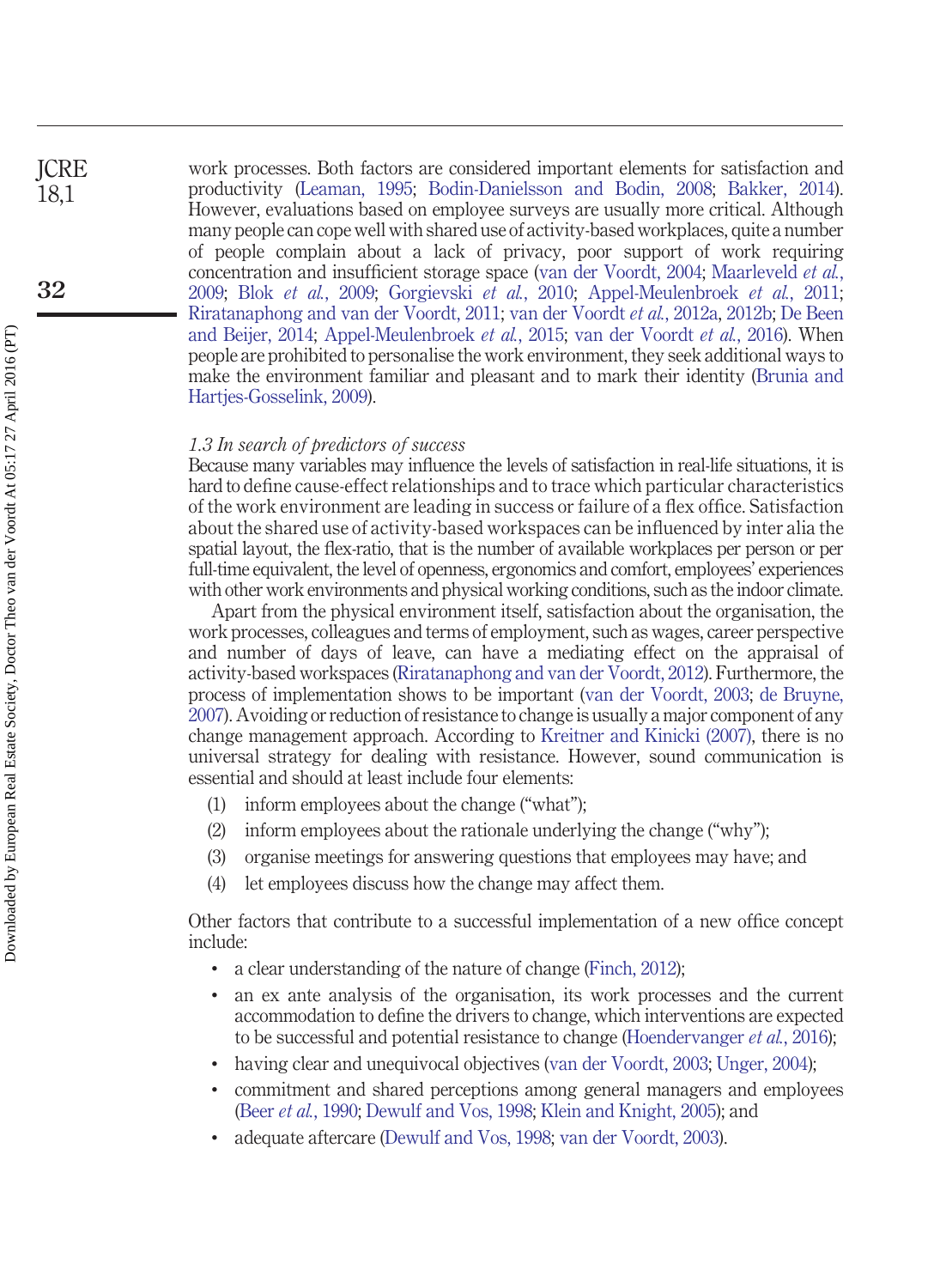work processes. Both factors are considered important elements for satisfaction and productivity [\(Leaman, 1995;](#page-16-7) [Bodin-Danielsson and Bodin, 2008;](#page-15-9) [Bakker, 2014\)](#page-15-10). However, evaluations based on employee surveys are usually more critical. Although many people can cope well with shared use of activity-based workplaces, quite a number of people complain about a lack of privacy, poor support of work requiring concentration and insufficient storage space [\(van der Voordt, 2004;](#page-17-4) [Maarleveld](#page-16-8) *et al.*, [2009;](#page-16-8) Blok *et al.*[, 2009;](#page-15-11) [Gorgievski](#page-15-12) *et al.*, 2010; [Appel-Meulenbroek](#page-14-1) *et al.*, 2011; [Riratanaphong and van der Voordt, 2011;](#page-16-9) [van der Voordt](#page-16-6) *et al.*, 2012a, [2012b;](#page-17-2) [De Been](#page-15-13) [and Beijer, 2014;](#page-15-13) [Appel-Meulenbroek](#page-14-2) *et al.*, 2015; [van der Voordt](#page-17-5) *et al.*, 2016). When people are prohibited to personalise the work environment, they seek additional ways to make the environment familiar and pleasant and to mark their identity [\(Brunia and](#page-15-14) [Hartjes-Gosselink, 2009\)](#page-15-14).

#### *1.3 In search of predictors of success*

Because many variables may influence the levels of satisfaction in real-life situations, it is hard to define cause-effect relationships and to trace which particular characteristics of the work environment are leading in success or failure of a flex office. Satisfaction about the shared use of activity-based workspaces can be influenced by inter alia the spatial layout, the flex-ratio, that is the number of available workplaces per person or per full-time equivalent, the level of openness, ergonomics and comfort, employees' experiences with other work environments and physical working conditions, such as the indoor climate.

Apart from the physical environment itself, satisfaction about the organisation, the work processes, colleagues and terms of employment, such as wages, career perspective and number of days of leave, can have a mediating effect on the appraisal of activity-based workspaces [\(Riratanaphong and van der Voordt, 2012\)](#page-16-10). Furthermore, the process of implementation shows to be important [\(van der Voordt, 2003;](#page-16-4) [de Bruyne,](#page-15-15) [2007\)](#page-15-15). Avoiding or reduction of resistance to change is usually a major component of any change management approach. According to [Kreitner and Kinicki \(2007\),](#page-16-11) there is no universal strategy for dealing with resistance. However, sound communication is essential and should at least include four elements:

- (1) inform employees about the change ("what");
- (2) inform employees about the rationale underlying the change ("why");
- (3) organise meetings for answering questions that employees may have; and
- (4) let employees discuss how the change may affect them.

Other factors that contribute to a successful implementation of a new office concept include:

- a clear understanding of the nature of change [\(Finch, 2012\)](#page-15-16);
- an ex ante analysis of the organisation, its work processes and the current accommodation to define the drivers to change, which interventions are expected to be successful and potential resistance to change [\(Hoendervanger](#page-16-12) *et al.*, 2016);
- having clear and unequivocal objectives [\(van der Voordt, 2003;](#page-16-4) [Unger, 2004\)](#page-16-13);
- commitment and shared perceptions among general managers and employees (Beer *et al.*[, 1990;](#page-15-17) [Dewulf and Vos, 1998;](#page-15-18) [Klein and Knight, 2005\)](#page-16-14); and
- adequate aftercare [\(Dewulf and Vos, 1998;](#page-15-18) [van der Voordt, 2003\)](#page-16-4).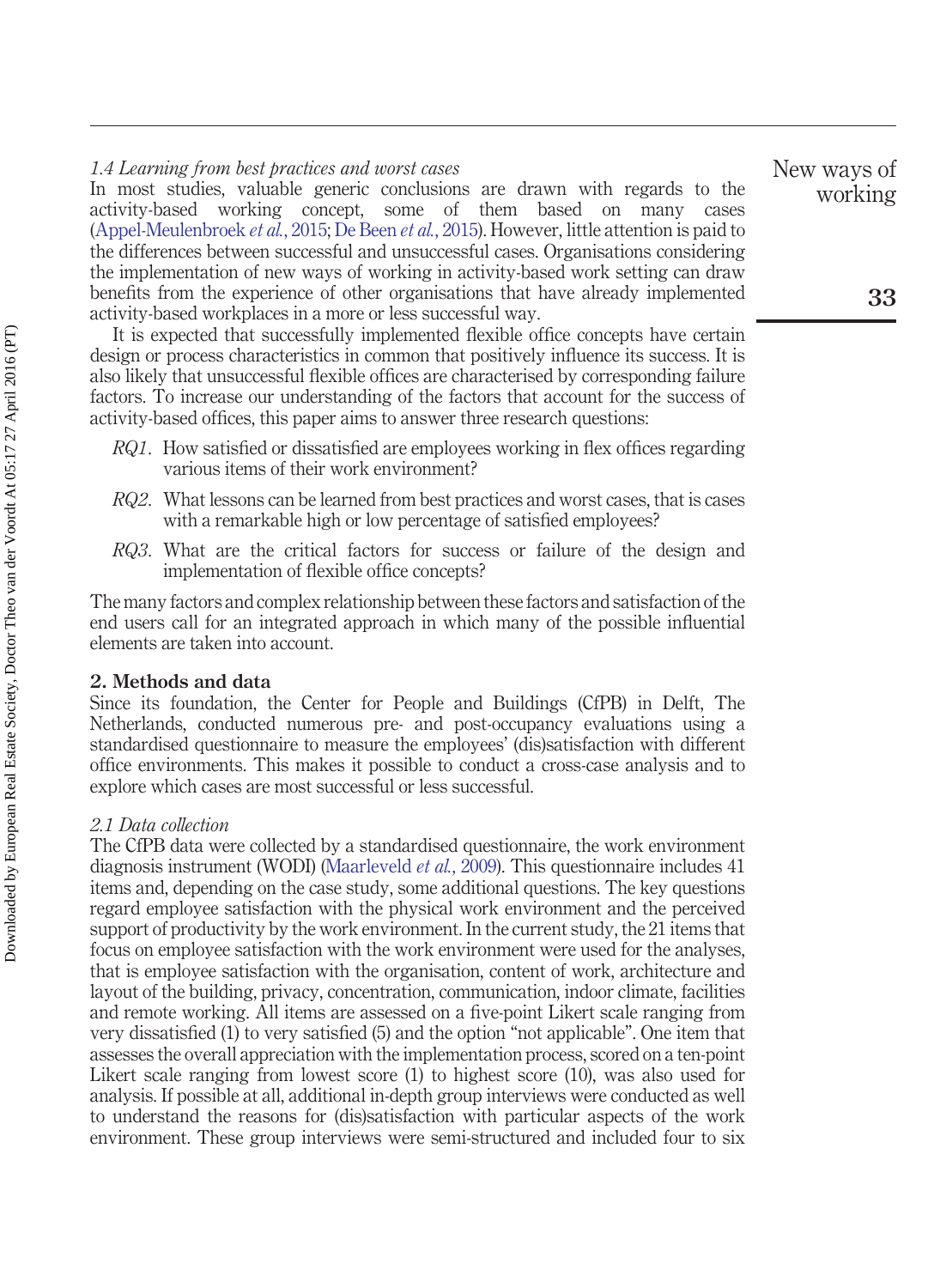## *1.4 Learning from best practices and worst cases*

In most studies, valuable generic conclusions are drawn with regards to the activity-based working concept, some of them based on many cases [\(Appel-Meulenbroek](#page-14-2) *et al.*, 2015; [De Been](#page-15-19) *et al.*, 2015). However, little attention is paid to the differences between successful and unsuccessful cases. Organisations considering the implementation of new ways of working in activity-based work setting can draw benefits from the experience of other organisations that have already implemented activity-based workplaces in a more or less successful way.

It is expected that successfully implemented flexible office concepts have certain design or process characteristics in common that positively influence its success. It is also likely that unsuccessful flexible offices are characterised by corresponding failure factors. To increase our understanding of the factors that account for the success of activity-based offices, this paper aims to answer three research questions:

- *RQ1*. How satisfied or dissatisfied are employees working in flex offices regarding various items of their work environment?
- *RQ2*. What lessons can be learned from best practices and worst cases, that is cases with a remarkable high or low percentage of satisfied employees?
- *RQ3*. What are the critical factors for success or failure of the design and implementation of flexible office concepts?

The many factors and complex relationship between these factors and satisfaction of the end users call for an integrated approach in which many of the possible influential elements are taken into account.

## **2. Methods and data**

Since its foundation, the Center for People and Buildings (CfPB) in Delft, The Netherlands, conducted numerous pre- and post-occupancy evaluations using a standardised questionnaire to measure the employees' (dis)satisfaction with different office environments. This makes it possible to conduct a cross-case analysis and to explore which cases are most successful or less successful.

#### *2.1 Data collection*

The CfPB data were collected by a standardised questionnaire, the work environment diagnosis instrument (WODI) [\(Maarleveld](#page-16-8) *et al.*, 2009). This questionnaire includes 41 items and, depending on the case study, some additional questions. The key questions regard employee satisfaction with the physical work environment and the perceived support of productivity by the work environment. In the current study, the 21 items that focus on employee satisfaction with the work environment were used for the analyses, that is employee satisfaction with the organisation, content of work, architecture and layout of the building, privacy, concentration, communication, indoor climate, facilities and remote working. All items are assessed on a five-point Likert scale ranging from very dissatisfied (1) to very satisfied (5) and the option "not applicable". One item that assesses the overall appreciation with the implementation process, scored on a ten-point Likert scale ranging from lowest score (1) to highest score (10), was also used for analysis. If possible at all, additional in-depth group interviews were conducted as well to understand the reasons for (dis)satisfaction with particular aspects of the work environment. These group interviews were semi-structured and included four to six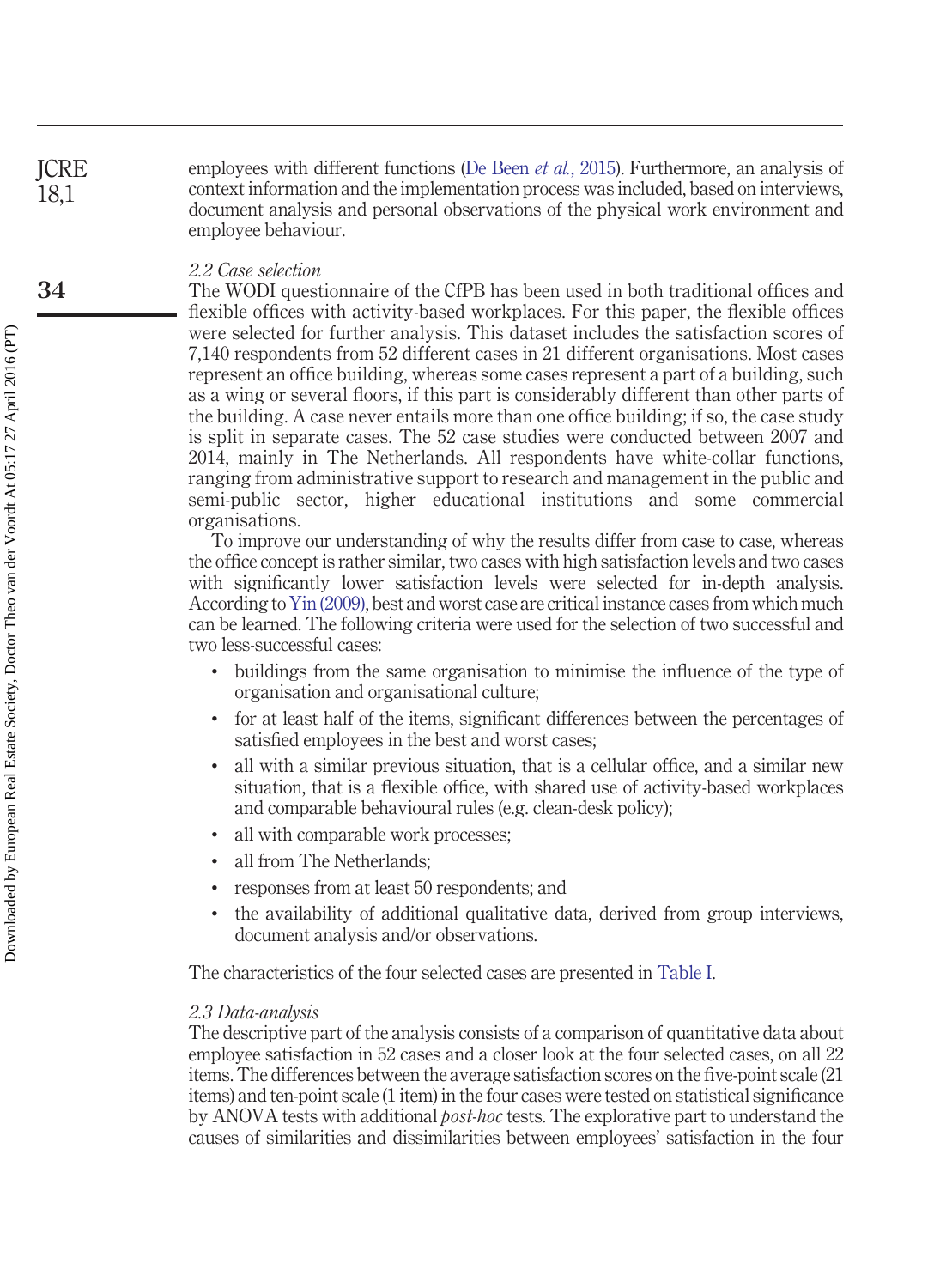employees with different functions [\(De Been](#page-15-19) *et al.*, 2015). Furthermore, an analysis of context information and the implementation process was included, based on interviews, document analysis and personal observations of the physical work environment and employee behaviour. **ICRE** 18,1

## *2.2 Case selection*

The WODI questionnaire of the CfPB has been used in both traditional offices and flexible offices with activity-based workplaces. For this paper, the flexible offices were selected for further analysis. This dataset includes the satisfaction scores of 7,140 respondents from 52 different cases in 21 different organisations. Most cases represent an office building, whereas some cases represent a part of a building, such as a wing or several floors, if this part is considerably different than other parts of the building. A case never entails more than one office building; if so, the case study is split in separate cases. The 52 case studies were conducted between 2007 and 2014, mainly in The Netherlands. All respondents have white-collar functions, ranging from administrative support to research and management in the public and semi-public sector, higher educational institutions and some commercial organisations.

To improve our understanding of why the results differ from case to case, whereas the office concept is rather similar, two cases with high satisfaction levels and two cases with significantly lower satisfaction levels were selected for in-depth analysis. According to [Yin \(2009\),](#page-17-6) best and worst case are critical instance cases from which much can be learned. The following criteria were used for the selection of two successful and two less-successful cases:

- buildings from the same organisation to minimise the influence of the type of organisation and organisational culture;
- for at least half of the items, significant differences between the percentages of satisfied employees in the best and worst cases;
- all with a similar previous situation, that is a cellular office, and a similar new situation, that is a flexible office, with shared use of activity-based workplaces and comparable behavioural rules (e.g. clean-desk policy);
- all with comparable work processes;
- all from The Netherlands;
- responses from at least 50 respondents; and
- the availability of additional qualitative data, derived from group interviews, document analysis and/or observations.

The characteristics of the four selected cases are presented in [Table I.](#page-5-0)

#### *2.3 Data-analysis*

The descriptive part of the analysis consists of a comparison of quantitative data about employee satisfaction in 52 cases and a closer look at the four selected cases, on all 22 items. The differences between the average satisfaction scores on the five-point scale (21 items) and ten-point scale (1 item) in the four cases were tested on statistical significance by ANOVA tests with additional *post-hoc* tests. The explorative part to understand the causes of similarities and dissimilarities between employees' satisfaction in the four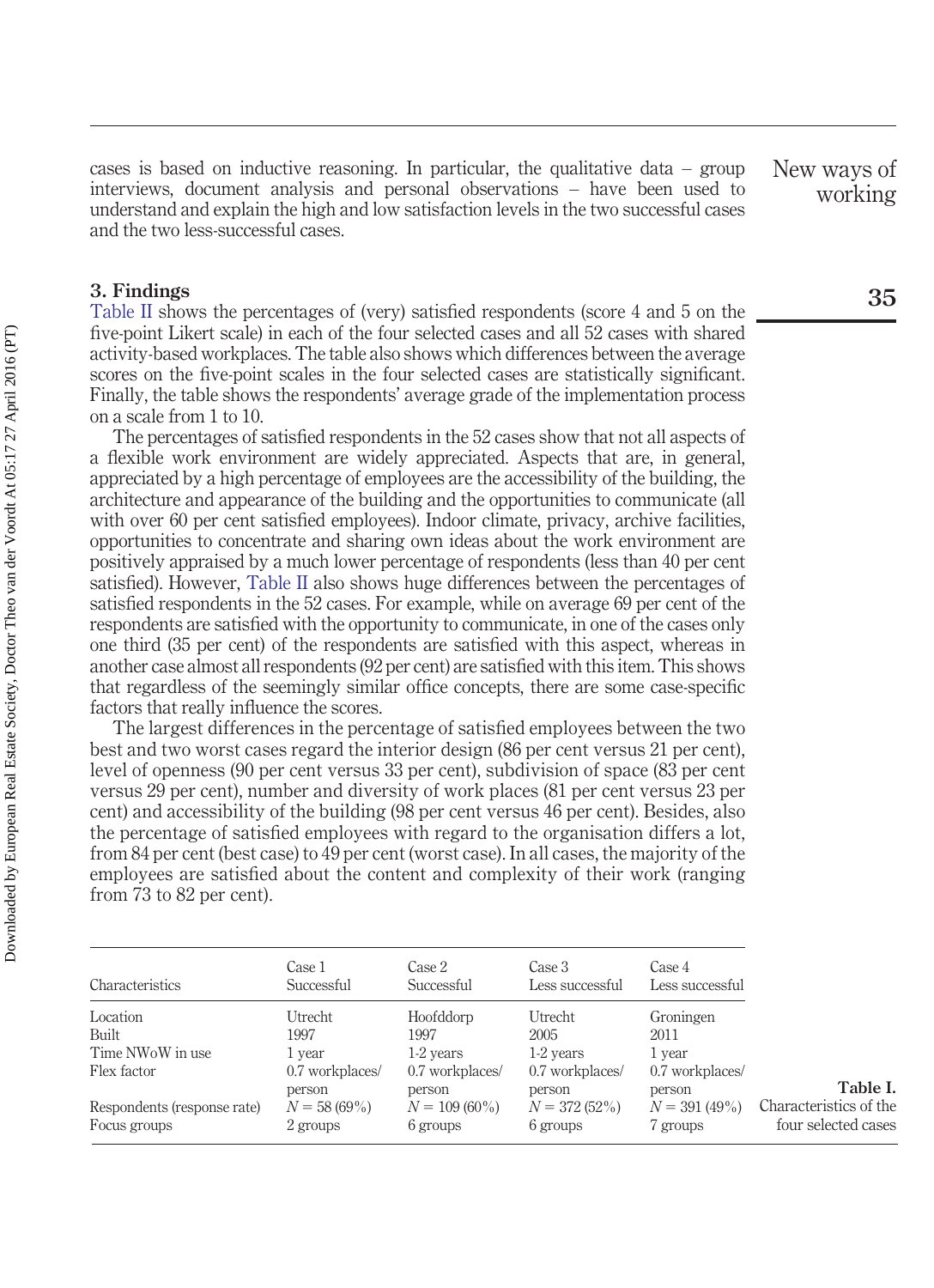cases is based on inductive reasoning. In particular, the qualitative data – group interviews, document analysis and personal observations – have been used to understand and explain the high and low satisfaction levels in the two successful cases and the two less-successful cases.

#### **3. Findings**

[Table II](#page-6-0) shows the percentages of (very) satisfied respondents (score 4 and 5 on the five-point Likert scale) in each of the four selected cases and all 52 cases with shared activity-based workplaces. The table also shows which differences between the average scores on the five-point scales in the four selected cases are statistically significant. Finally, the table shows the respondents' average grade of the implementation process on a scale from 1 to 10.

The percentages of satisfied respondents in the 52 cases show that not all aspects of a flexible work environment are widely appreciated. Aspects that are, in general, appreciated by a high percentage of employees are the accessibility of the building, the architecture and appearance of the building and the opportunities to communicate (all with over 60 per cent satisfied employees). Indoor climate, privacy, archive facilities, opportunities to concentrate and sharing own ideas about the work environment are positively appraised by a much lower percentage of respondents (less than 40 per cent satisfied). However, [Table II](#page-6-0) also shows huge differences between the percentages of satisfied respondents in the 52 cases. For example, while on average 69 per cent of the respondents are satisfied with the opportunity to communicate, in one of the cases only one third (35 per cent) of the respondents are satisfied with this aspect, whereas in another case almost all respondents (92 per cent) are satisfied with this item. This shows that regardless of the seemingly similar office concepts, there are some case-specific factors that really influence the scores.

The largest differences in the percentage of satisfied employees between the two best and two worst cases regard the interior design (86 per cent versus 21 per cent), level of openness (90 per cent versus 33 per cent), subdivision of space (83 per cent versus 29 per cent), number and diversity of work places (81 per cent versus 23 per cent) and accessibility of the building (98 per cent versus 46 per cent). Besides, also the percentage of satisfied employees with regard to the organisation differs a lot, from 84 per cent (best case) to 49 per cent (worst case). In all cases, the majority of the employees are satisfied about the content and complexity of their work (ranging from 73 to 82 per cent).

<span id="page-5-0"></span>

| Characteristics                             | Case 1<br>Successful                 | Case 2<br>Successful                  | Case 3<br>Less successful             | Case 4<br>Less successful             |                                                           |
|---------------------------------------------|--------------------------------------|---------------------------------------|---------------------------------------|---------------------------------------|-----------------------------------------------------------|
| Location                                    | Utrecht                              | Hoofddorp                             | Utrecht                               | Groningen                             |                                                           |
| Built                                       | 1997                                 | 1997                                  | 2005                                  | 2011                                  |                                                           |
| Time NWoW in use                            | 1 vear                               | 1-2 years                             | 1-2 years                             | 1 year                                |                                                           |
| Flex factor                                 | 0.7 workplaces/                      | 0.7 workplaces/                       | 0.7 workplaces/                       | 0.7 workplaces/                       |                                                           |
| Respondents (response rate)<br>Focus groups | person<br>$N = 58(69\%)$<br>2 groups | person<br>$N = 109(60\%)$<br>6 groups | person<br>$N = 372(52\%)$<br>6 groups | person<br>$N = 391(49\%)$<br>7 groups | Table I.<br>Characteristics of the<br>four selected cases |

**35**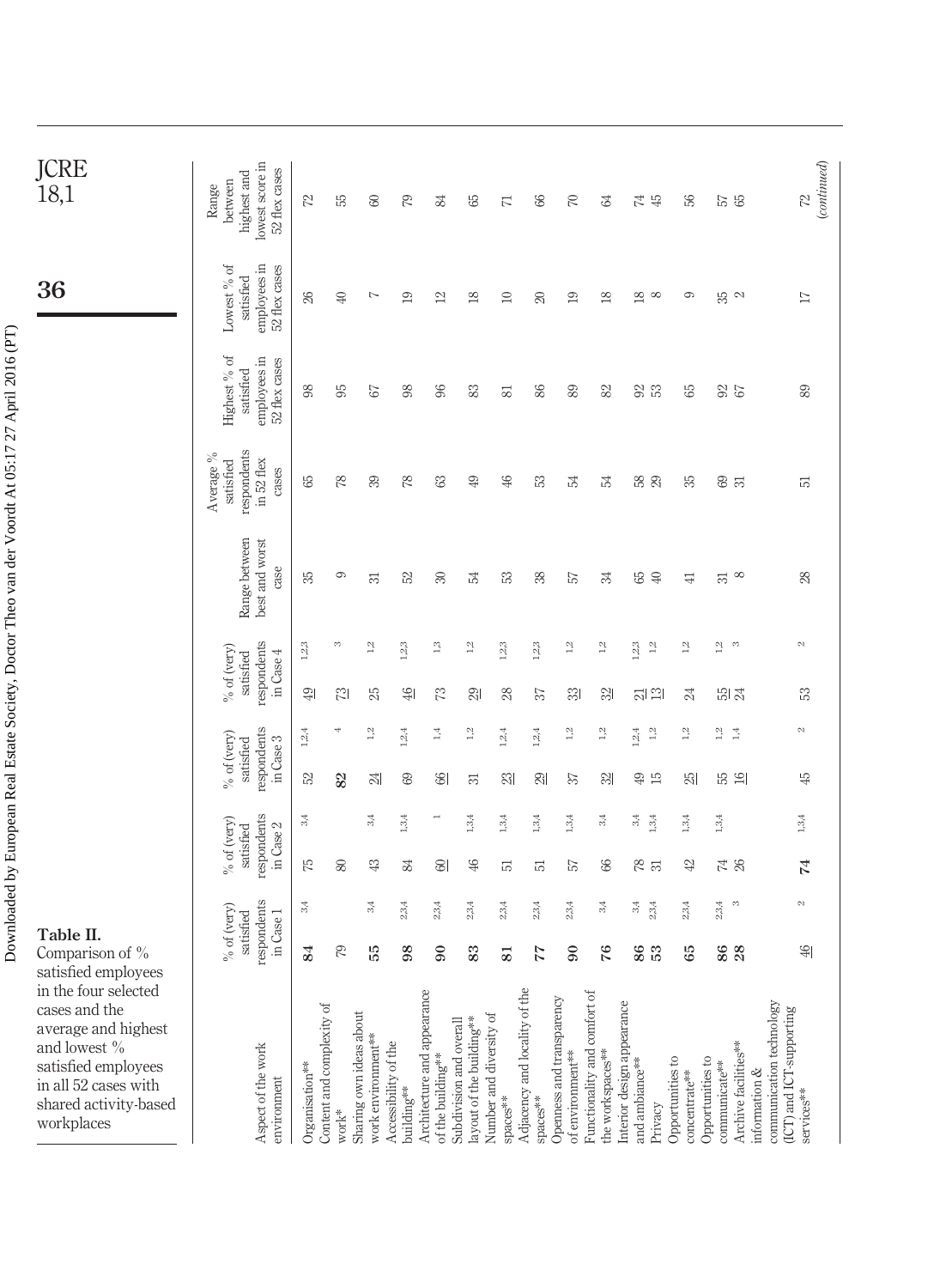| <b>JCRE</b><br>18,1                                                                                                                                                   | lowest score in<br>52 flex cases<br>highest and<br>between<br>Range | 52             | 55                                                   | 60                                            | 79                                 | 24                                               | 65                                                   | 17                                  | 86                                        | $\sqrt{2}$                                    | $\Im$                                            | $74$                                         |               | S6                                   |                                   | 57                                                      |                                                                       | (continued)<br>$72\,$   |
|-----------------------------------------------------------------------------------------------------------------------------------------------------------------------|---------------------------------------------------------------------|----------------|------------------------------------------------------|-----------------------------------------------|------------------------------------|--------------------------------------------------|------------------------------------------------------|-------------------------------------|-------------------------------------------|-----------------------------------------------|--------------------------------------------------|----------------------------------------------|---------------|--------------------------------------|-----------------------------------|---------------------------------------------------------|-----------------------------------------------------------------------|-------------------------|
| 36                                                                                                                                                                    | employees in<br>Lowest % of<br>52 flex cases<br>satisfied           | 26             | ₽                                                    | 7                                             | $^{19}$                            | 12                                               | $^{18}$                                              | $\overline{10}$                     | $20\,$                                    | 19                                            | $^{18}$                                          | $\frac{8}{2}$                                | $\infty$      | G                                    |                                   | $35^{\circ}$                                            |                                                                       | $\overline{17}$         |
|                                                                                                                                                                       | Highest % of<br>employees in<br>52 flex cases<br>satisfied          | 38             | க                                                    | S                                             | $\frac{8}{2}$                      | $\%$                                             | 83                                                   | 53                                  | 88                                        | 88                                            | 2                                                | ೫ ಜ                                          |               | ෂ                                    |                                   | 85                                                      |                                                                       | 89                      |
|                                                                                                                                                                       | respondents<br>Average %<br>in 52 flex<br>satisfied<br>cases        | ౪              | æ                                                    | 89                                            | æ                                  | ଞ                                                | ₽                                                    | $\frac{1}{2}$                       | ಜ                                         | 忑                                             | 忑                                                | 88                                           |               | ೫                                    |                                   | 8 5                                                     |                                                                       | 55                      |
|                                                                                                                                                                       | Range between<br>best and worst<br>case                             | 35             | 6                                                    | 51                                            | 52                                 | $\boldsymbol{\mathcal{S}}$                       | 54                                                   | S3                                  | $38$                                      | 57                                            | 34                                               | 65                                           |               | 41                                   |                                   | $\stackrel{\textstyle\sim}{\scriptstyle\sim}$ $^\infty$ |                                                                       | 28                      |
|                                                                                                                                                                       |                                                                     | 1,2,3          | S                                                    | $\vec{a}$                                     | 1,2,3                              | 2                                                | $1.2\,$                                              | 1,2,3                               | 1,2,3                                     | $\frac{1}{2}$                                 | $\frac{2}{2}$                                    | 1,2,3                                        | $\frac{2}{1}$ | $^{12}$                              | $\frac{2}{1}$ $\frac{3}{1}$       |                                                         |                                                                       | $\sim$                  |
|                                                                                                                                                                       | respondents<br>% of (very)<br>in Case 4<br>satisfied                | $\mathfrak{P}$ | S.                                                   | $\mathbb{S}^2$                                | $\oplus$                           | $\mathbb{Z}$                                     | ଅ                                                    | $\infty$                            | 55                                        | ଅ                                             | ଖ                                                | $\frac{21}{21}$                              |               | ₹                                    |                                   | 亞丝                                                      |                                                                       | B                       |
|                                                                                                                                                                       | respondents<br>$%$ of (very)<br>in Case 3<br>satisfied              | 1,2,4          | 4                                                    | 1,2                                           | 1,2,4                              | $\mathbb{I}^4$                                   | $1.2\,$                                              | $1.2.4\,$                           | 1,2,4                                     | 1.2                                           | $^{12}$                                          | $1,\!2,\!4$                                  | $12\,$        | $^{12}$                              | $1.2\,$                           | $\mathbb{R}^4$                                          |                                                                       | $\mathbb{N}$            |
|                                                                                                                                                                       |                                                                     | 52             | 82                                                   | 넼                                             | 69                                 | 66                                               | 55                                                   | $\mathbb{R}$                        | 29                                        | 22                                            | S)                                               | 945                                          |               | $\mathbb{E}$                         |                                   | <b>BS</b> 20                                            |                                                                       | $45$                    |
|                                                                                                                                                                       | respondents<br>$\%$ of (very)<br>in $Case 2$<br>satisfied           | 34             |                                                      | 34                                            | 1,3,4                              |                                                  | 1,3,4                                                | 1,3,4                               | 1,3,4                                     | 1,3,4                                         | 34                                               | 3,4                                          | 1,3,4         | 1,3,4                                | 1,3,4                             |                                                         |                                                                       | 1,3,4                   |
|                                                                                                                                                                       |                                                                     | 75             | $80\,$                                               | $\ddot{ }$                                    | $\approx$                          | $\rm 60$                                         | $\frac{4}{6}$                                        | 55                                  | 55                                        | 57                                            | 86                                               | $\frac{8}{2}$                                |               | 42                                   |                                   | $74$ $8$                                                |                                                                       | 74                      |
| Table II.                                                                                                                                                             | respondents<br>$%$ of (very)<br>in Case 1<br>satisfied              | 3,4            |                                                      | 34                                            | 2,3,4                              | 2,3,4                                            | 2,3,4                                                | 2,3,4                               | 2,3,4                                     | 2,3,4                                         | 34                                               | 3,4                                          | 2,3,4         | 2,3,4                                | 2,3,4                             | S                                                       |                                                                       | $\mathbb{N}$            |
| Comparison of %<br>satisfied employees                                                                                                                                |                                                                     | 84             | 52                                                   | 55                                            | 98                                 | $\infty$                                         | 83                                                   | 81                                  | 22                                        | $\infty$                                      | 76                                               | 86                                           | 53            | 65                                   |                                   | 86<br>28                                                |                                                                       | $\frac{Q}{P}$           |
| in the four selected<br>cases and the<br>average and highest<br>and lowest $\%$<br>satisfied employees<br>in all 52 cases with<br>shared activity-based<br>workplaces | Aspect of the work<br>environment                                   | Organisation** | Content and complexity of<br>$\operatorname{work}^*$ | Sharing own ideas about<br>work environment** | Accessibility of the<br>building** | Architecture and appearance<br>of the building** | layout of the building***<br>Subdivision and overall | Number and diversity of<br>spaces** | Adjacency and locality of the<br>spaces** | Openness and transparency<br>of environment** | Functionality and comfort of<br>the workspaces** | Interior design appearance<br>and ambiance** | Privacy       | Opportunities to<br>$concentrate***$ | Opportunities to<br>communicate** | Archive facilities**                                    | communication technology<br>(ICT) and ICT-supporting<br>information & | services <sup>***</sup> |

Downloaded by European Real Estate Society, Doctor Theo van der Voordt At 05:17 27 April 2016 (PT) Downloaded by European Real Estate Society, Doctor Theo van der Voordt At 05:17 27 April 2016 (PT)

<span id="page-6-0"></span>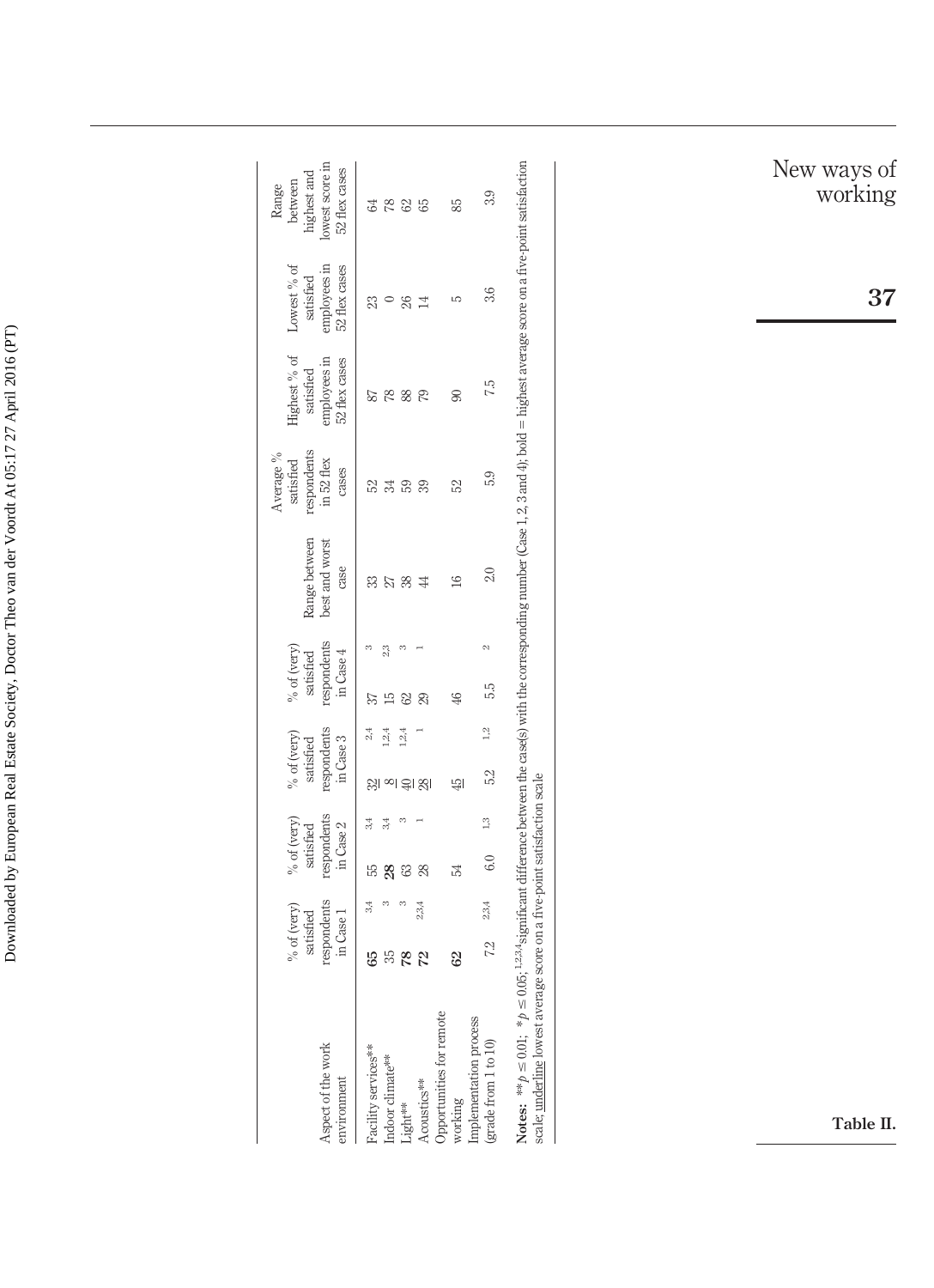| New ways of<br>working | 3.9                                            |                                     |                                   |                      |                     | lowest score in<br>52 flex cases<br>highest and<br>between<br>Range |
|------------------------|------------------------------------------------|-------------------------------------|-----------------------------------|----------------------|---------------------|---------------------------------------------------------------------|
|                        |                                                | 85                                  | 3 2 3 5                           |                      |                     |                                                                     |
| 37                     | 3.6                                            | S                                   | $\frac{26}{14}$                   | $\circ$              | 23                  | employees in<br>Lowest % of<br>52 flex cases<br>satisfied           |
|                        | 7.5                                            | $\infty$                            | 8898                              |                      |                     | Highest % of<br>employees in<br>52 flex cases<br>satisfied          |
|                        | 5.9                                            | 52                                  | 27.38                             |                      |                     | respondents<br>Average %<br>in 52 flex<br>satisfied<br>cases        |
|                        | 2.0                                            | 16                                  | $38$<br>$\sharp$                  | 27                   | ೫                   | Range between<br>best and worst<br>case                             |
|                        | $\mathfrak{g}$                                 |                                     | $\overline{\phantom{a}}$          | 2,3<br>s             | S                   |                                                                     |
|                        | 5.5                                            | 46                                  | $62\,$<br>$29\,$                  | $\overline{15}$      | 57                  | respondents<br>% of (very)<br>in Case 4<br>satisfied                |
|                        | $1.2\,$                                        |                                     |                                   | 1,2,4<br>$1.2.4\,$   | $2.4\,$             | respondents<br>% of (very)<br>in Case 3<br>satisfied                |
|                        | 5.2                                            | $\overline{45}$                     | $\frac{1}{2}$ $\frac{1}{2}$       |                      | $\frac{1}{2}$       |                                                                     |
|                        | $1.3\,$                                        |                                     |                                   | $\infty$<br>3,4      | 3,4                 | respondents<br>% of (very)<br>in Case 2<br>satisfied                |
|                        | $6.0\,$                                        | 54                                  | $^{23}$ $^8$                      | 28                   | 55                  |                                                                     |
|                        | 2,3,4                                          |                                     | 2,3,4                             | $\infty$<br>$\infty$ | 34                  | respondents<br>$%$ of (very)<br>in Case 1<br>satisfied              |
|                        | 72                                             | 62                                  | $78$<br>72                        | 35                   | 65                  |                                                                     |
| Table II.              | Implementation process<br>(grade from 1 to 10) | Opportunities for remote<br>working | Acoustics**<br>${\rm Light}^{**}$ | Indoor climate**     | Facility services** | Aspect of the work<br>environment                                   |

Downloaded by European Real Estate Society, Doctor Theo van der Voordt At 05:17 27 April 2016 (PT) Downloaded by European Real Estate Society, Doctor Theo van der Voordt At 05:17 27 April 2016 (PT)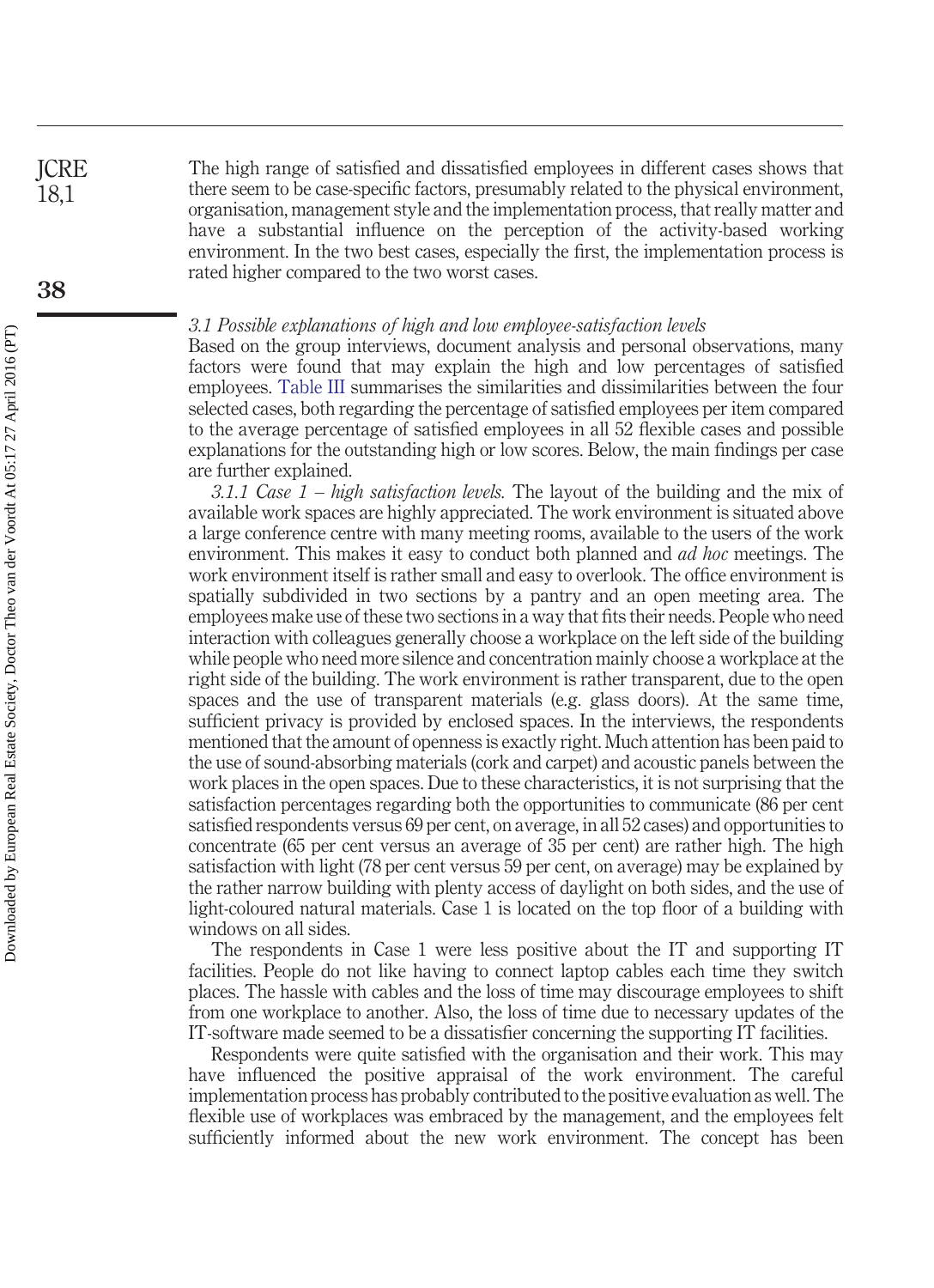The high range of satisfied and dissatisfied employees in different cases shows that there seem to be case-specific factors, presumably related to the physical environment, organisation, management style and the implementation process, that really matter and have a substantial influence on the perception of the activity-based working environment. In the two best cases, especially the first, the implementation process is rated higher compared to the two worst cases.

## *3.1 Possible explanations of high and low employee-satisfaction levels*

Based on the group interviews, document analysis and personal observations, many factors were found that may explain the high and low percentages of satisfied employees. [Table III](#page-9-0) summarises the similarities and dissimilarities between the four selected cases, both regarding the percentage of satisfied employees per item compared to the average percentage of satisfied employees in all 52 flexible cases and possible explanations for the outstanding high or low scores. Below, the main findings per case are further explained.

*3.1.1 Case 1 – high satisfaction levels.* The layout of the building and the mix of available work spaces are highly appreciated. The work environment is situated above a large conference centre with many meeting rooms, available to the users of the work environment. This makes it easy to conduct both planned and *ad hoc* meetings. The work environment itself is rather small and easy to overlook. The office environment is spatially subdivided in two sections by a pantry and an open meeting area. The employees make use of these two sections in a way that fits their needs. People who need interaction with colleagues generally choose a workplace on the left side of the building while people who need more silence and concentration mainly choose a workplace at the right side of the building. The work environment is rather transparent, due to the open spaces and the use of transparent materials (e.g. glass doors). At the same time, sufficient privacy is provided by enclosed spaces. In the interviews, the respondents mentioned that the amount of openness is exactly right. Much attention has been paid to the use of sound-absorbing materials (cork and carpet) and acoustic panels between the work places in the open spaces. Due to these characteristics, it is not surprising that the satisfaction percentages regarding both the opportunities to communicate (86 per cent satisfied respondents versus 69 per cent, on average, in all 52 cases) and opportunities to concentrate (65 per cent versus an average of 35 per cent) are rather high. The high satisfaction with light (78 per cent versus 59 per cent, on average) may be explained by the rather narrow building with plenty access of daylight on both sides, and the use of light-coloured natural materials. Case 1 is located on the top floor of a building with windows on all sides.

The respondents in Case 1 were less positive about the IT and supporting IT facilities. People do not like having to connect laptop cables each time they switch places. The hassle with cables and the loss of time may discourage employees to shift from one workplace to another. Also, the loss of time due to necessary updates of the IT-software made seemed to be a dissatisfier concerning the supporting IT facilities.

Respondents were quite satisfied with the organisation and their work. This may have influenced the positive appraisal of the work environment. The careful implementation process has probably contributed to the positive evaluation as well. The flexible use of workplaces was embraced by the management, and the employees felt sufficiently informed about the new work environment. The concept has been

**ICRE** 18,1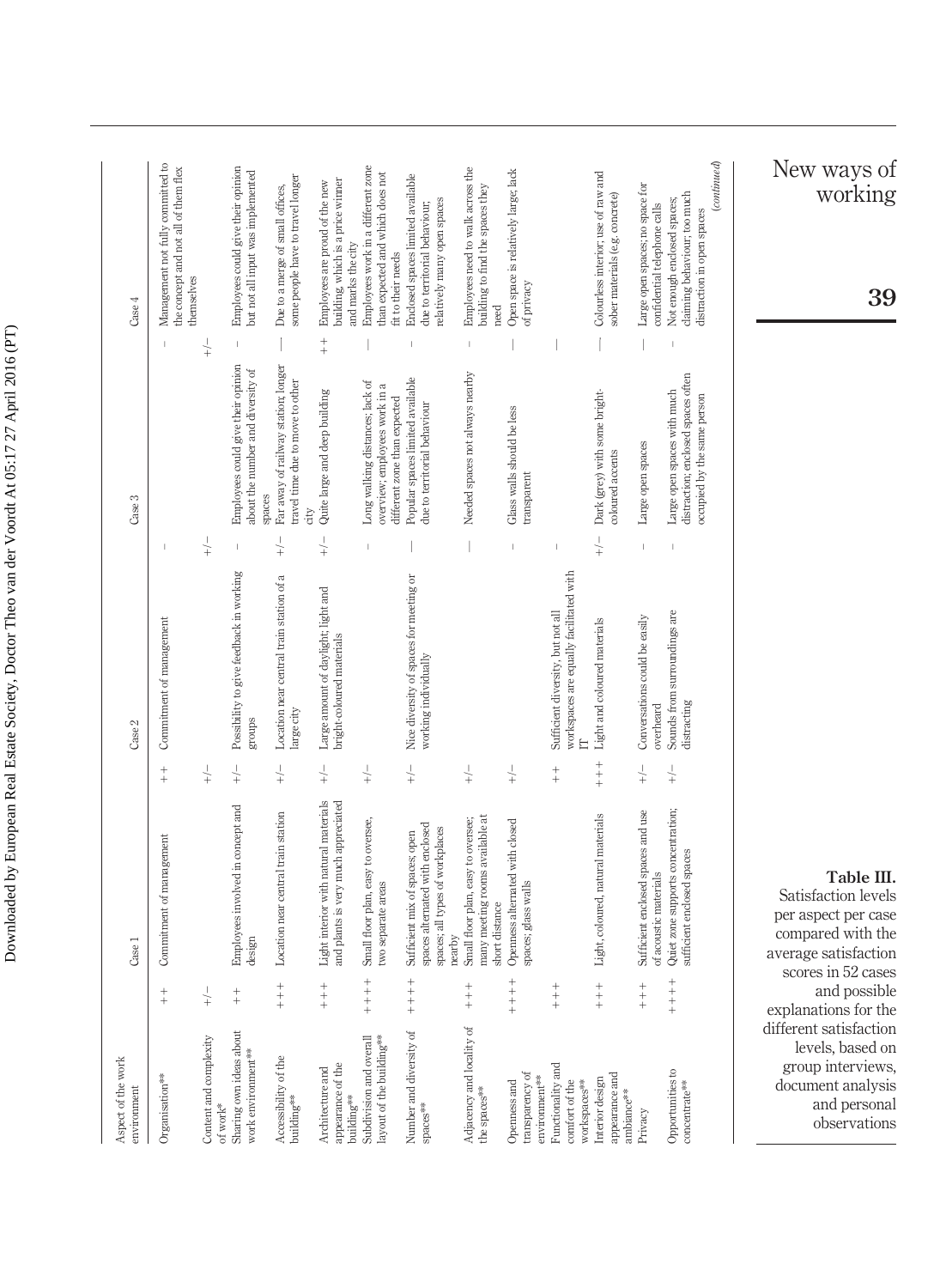| ı                                                  |
|----------------------------------------------------|
| ļ<br>l                                             |
|                                                    |
| l                                                  |
| $\ddot{\phantom{0}}$<br>I                          |
| ı                                                  |
| j                                                  |
| t<br>l<br>$\mathbf$                                |
| ļ<br>֖֖֧֢ׅ֧֪֧֚֚֚֚֚֚֚֚֚֚֚֚֚֚֚֚֚֚֚֚֚֚֚֚֬֝֓֡֡֡֬֓֓֡֡֡֬ |
| l                                                  |
| l                                                  |
|                                                    |
| l<br>l                                             |
| ı                                                  |
|                                                    |
| $\frac{1}{2}$                                      |
|                                                    |
| i                                                  |
| $\ddot{\phantom{a}}$                               |
| j<br>l                                             |
|                                                    |
|                                                    |
| ١<br>ļ                                             |
|                                                    |
| ֖֖֖֚֚֚֚֚֬                                          |
|                                                    |
| ł                                                  |
|                                                    |
| I                                                  |
|                                                    |
| I                                                  |
| i                                                  |
| ı                                                  |
| į<br>l<br>I                                        |
| $\overline{1}$                                     |
|                                                    |
|                                                    |
|                                                    |
|                                                    |
| <b>DOUT</b>                                        |
| Í<br>$\sqrt{2}$                                    |

| Aspect of the work<br>environment                                          |                                                             | Case 1                                                                                                         |                    | Case 2                                                                            |                | Case 3                                                                                           |                | Case 4                                                                                                                      |
|----------------------------------------------------------------------------|-------------------------------------------------------------|----------------------------------------------------------------------------------------------------------------|--------------------|-----------------------------------------------------------------------------------|----------------|--------------------------------------------------------------------------------------------------|----------------|-----------------------------------------------------------------------------------------------------------------------------|
| Organisation**                                                             | $+$                                                         | Commitment of management                                                                                       | $+$                | Commitment of management                                                          |                |                                                                                                  |                | Management not fully committed to<br>the concept and not all of them flex<br>themselves                                     |
| Content and complexity<br>of work*                                         | $\downarrow$                                                |                                                                                                                | $\frac{1}{+}$      |                                                                                   | $\frac{1}{+}$  |                                                                                                  | $+\frac{1}{x}$ |                                                                                                                             |
| Sharing own ideas about<br>work environment**                              | $+$                                                         | Employees involved in concept and<br>design                                                                    | $+\frac{1}{x}$     | Possibility to give feedback in working<br>groups                                 | $\mathbb I$    | Employees could give their opinion<br>about the number and diversity of                          |                | Employees could give their opinion<br>but not all input was implemented                                                     |
| Accessibility of the<br>building**                                         | $+$<br>$^{+}$                                               | Location near central train station                                                                            | $-\frac{1}{2}$     | Location near central train station of a<br>large city                            | $+\frac{1}{1}$ | Far away of railway station; longer<br>travel time due to move to other<br>spaces<br>city        |                | some people have to travel longer<br>Due to a merge of small offices,                                                       |
| appearance of the<br>Architecture and<br>building**                        | $\begin{array}{c} + \\ + \end{array}$<br>$^{+}$             | Light interior with natural materials<br>and plants is very much appreciated                                   | $+\frac{1}{1}$     | Large amount of daylight; light and<br>bright-coloured materials                  | $-\frac{1}{2}$ | Quite large and deep building                                                                    | $+$            | building, which is a price winner<br>Employees are proud of the new<br>and marks the city                                   |
| Subdivision and overall layout of the building***                          | $+$<br>$\frac{1}{2}$                                        | Small floor plan, easy to oversee,<br>two separate areas                                                       | $\frac{1}{+}$      |                                                                                   | I              | Long walking distances; lack of<br>overview; employees work in a<br>different zone than expected |                | Employees work in a different zone<br>than expected and which does not<br>fit to their needs                                |
| Number and diversity of<br>spaces <sup>***</sup>                           | $+$<br>$^{+}$                                               | spaces alternated with enclosed<br>spaces; all types of workplaces<br>Sufficient mix of spaces; open<br>nearby | $\frac{1}{+}$      | Nice diversity of spaces for meeting or<br>working individually                   |                | Popular spaces limited available<br>due to territorial behaviour                                 |                | Enclosed spaces limited available<br>relatively many open spaces<br>due to territorial behaviour;                           |
| Adjacency and locality of<br>the spaces***                                 | $+$<br>$^{+}$                                               | many meeting rooms available at<br>Small floor plan, easy to oversee;<br>short distance                        | $+\frac{1}{x}$     |                                                                                   |                | Needed spaces not always nearby                                                                  |                | Employees need to walk across the<br>building to find the spaces they<br>need                                               |
| transparency of<br>environment <sup>#*</sup><br>Openness and               | $+$<br>$^{+}$                                               | Openness alternated with closed<br>spaces; glass walls                                                         | $+\frac{1}{x}$     |                                                                                   |                | Glass walls should be less<br>transparent                                                        |                | Open space is relatively large; lack<br>of privacy                                                                          |
| Functionality and<br>comfort of the<br>workspaces**                        | $+$<br>+<br>+                                               |                                                                                                                | $+$                | workspaces are equally facilitated with<br>Sufficient diversity, but not all<br>Ë |                |                                                                                                  |                |                                                                                                                             |
| appearance and<br>Interior design<br>ambiance**                            | $+$<br>+<br>+                                               | Light, coloured, natural materials                                                                             | $+$<br>$+$<br>$+$  | Light and coloured materials                                                      | $+\frac{1}{1}$ | Dark (grey) with some bright-<br>coloured accents                                                |                | Colourless interior; use of raw and<br>sober materials (e.g. concrete)                                                      |
| Privacy                                                                    | $+$<br>$^{+}$                                               | Sufficient enclosed spaces and use<br>of acoustic materials                                                    | $+\right\rangle +$ | Conversations could be easily<br>overheard                                        | $\vert$        | Large open spaces                                                                                |                | Large open spaces; no space for<br>confidential telephone calls                                                             |
| Opportunities to<br>$concentrate^{\ast\ast}$                               | $\begin{array}{c} + \\ + \\ + \end{array}$<br>$\frac{1}{2}$ | Quiet zone supports concentration;<br>sufficient enclosed spaces                                               | $rac{1}{+}$        | Sounds from surroundings are<br>distracting                                       |                | distraction; enclosed spaces often<br>Large open spaces with much<br>occupied by the same person |                | $_{\footnotesize (continued)}$<br>claiming behaviour; too much<br>Not enough enclosed spaces;<br>distraction in open spaces |
| different satis<br>levels, b<br>group inte<br>document a<br>and p<br>obser | and r<br>explanations                                       | Ta<br>Satisfactio<br>per aspect p<br>compared<br>average sati<br>scores in                                     |                    |                                                                                   |                |                                                                                                  |                | New wa<br>WO1                                                                                                               |

New ways of working

**39**

# ble III.

<span id="page-9-0"></span>n levels per case .<br>with the sfaction 52 cases possible s for the sfaction ased on erviews, analysis bersonal vations: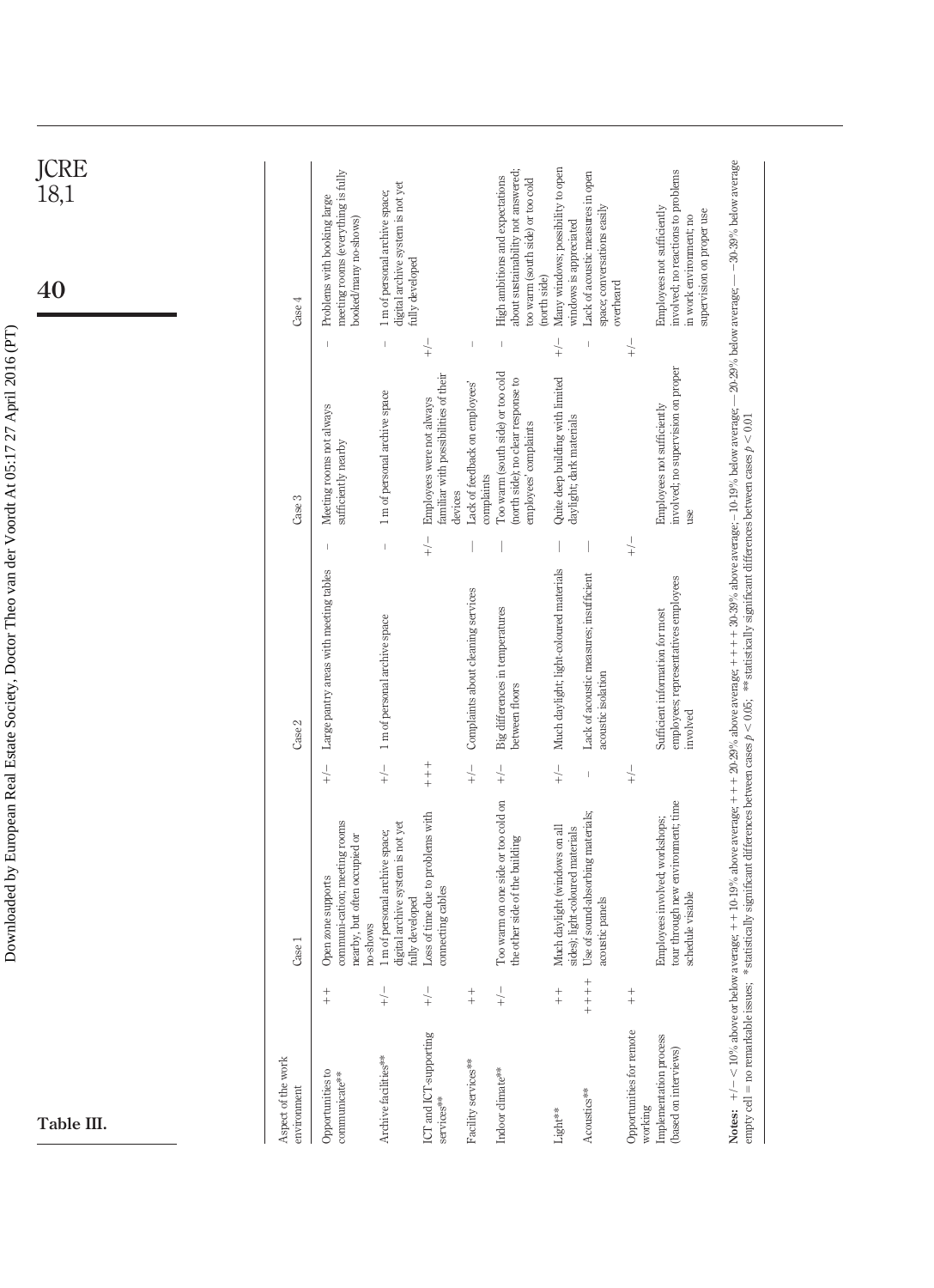| Table III.                                       |                                                      |                                                                                                  |                                         |                                                                                                                                                                                                                                                                                    |                |                                                                                                  | 40                                                                                                                                    | JCRE<br>18,1 |
|--------------------------------------------------|------------------------------------------------------|--------------------------------------------------------------------------------------------------|-----------------------------------------|------------------------------------------------------------------------------------------------------------------------------------------------------------------------------------------------------------------------------------------------------------------------------------|----------------|--------------------------------------------------------------------------------------------------|---------------------------------------------------------------------------------------------------------------------------------------|--------------|
| Aspect of the work<br>environment                |                                                      | Case 1                                                                                           |                                         | Case 2                                                                                                                                                                                                                                                                             |                | Case 3                                                                                           | Case 4                                                                                                                                |              |
| Opportunities to<br>communicate**                | $+$                                                  | communi-cation; meeting rooms<br>nearby, but often occupied or<br>Open zone supports<br>no-shows | $+\frac{1}{x}$                          | Large pantry areas with meeting tables                                                                                                                                                                                                                                             |                | Meeting rooms not always<br>sufficiently nearby                                                  | meeting rooms (everything is fully<br>Problems with booking large<br>booked/many no-shows)                                            |              |
| Archive facilities***                            | $\frac{1}{+}$                                        | digital archive system is not yet<br>1 m of personal archive space;<br>fully developed           | $\frac{1}{+}$                           | 1 m of personal archive space                                                                                                                                                                                                                                                      | $\mathbb{I}$   | 1 m of personal archive space                                                                    | digital archive system is not yet<br>1 m of personal archive space;<br>fully developed<br>$\mathbf{I}$                                |              |
| ICT and ICT-supporting<br>services <sup>##</sup> | $\frac{1}{+}$                                        | Loss of time due to problems with<br>connecting cables                                           | $+$                                     |                                                                                                                                                                                                                                                                                    | $+\frac{1}{1}$ | familiar with possibilities of their<br>Employees were not always<br>devices                     | $+\frac{1}{x}$                                                                                                                        |              |
| Facility services <sup>**</sup>                  | $+$                                                  |                                                                                                  | $\frac{1}{+}$                           | Complaints about cleaning services                                                                                                                                                                                                                                                 |                | Lack of feedback on employees'<br>complaints                                                     | I,                                                                                                                                    |              |
| Indoor climate**                                 | $\frac{1}{+}$                                        | Too warm on one side or too cold on<br>the other side of the building                            | $\frac{1}{+}$                           | Big differences in temperatures<br>between floors                                                                                                                                                                                                                                  |                | Too warm (south side) or too cold<br>(north side); no clear response to<br>employees' complaints | about sustainability not answered;<br>High ambitions and expectations<br>too warm (south side) or too cold<br>(north side)<br>$\vert$ |              |
| ${\rm Light^{**}}$                               | $+$                                                  | Much daylight (windows on all<br>sides); light-coloured materials                                | $\frac{1}{+}$                           | Much daylight; light-coloured materials                                                                                                                                                                                                                                            |                | Quite deep building with limited<br>daylight; dark materials                                     | Many windows; possibility to open<br>windows is appreciated<br>$+\frac{1}{x}$                                                         |              |
| Acoustics <sup>**</sup>                          | $\begin{array}{c} + \\ + \\ + \end{array}$<br>$^{+}$ | Use of sound-absorbing materials;<br>acoustic panels                                             | $\label{eq:1} \quad \  \  \, \parallel$ | Lack of acoustic measures; insufficient<br>acoustic isolation                                                                                                                                                                                                                      |                |                                                                                                  | Lack of acoustic measures in open<br>space; conversations easily                                                                      |              |
| Opportunities for remote<br>working              | $+$                                                  |                                                                                                  | $+\frac{1}{x}$                          |                                                                                                                                                                                                                                                                                    | $\frac{1}{+}$  |                                                                                                  | overheard<br>$+\frac{1}{x}$                                                                                                           |              |
| Implementation process<br>(based on interviews)  |                                                      | tour through new environment; time<br>Employees involved; workshops;<br>schedule visable         |                                         | employees; representatives employees<br>Sufficient information for most<br>involved                                                                                                                                                                                                |                | involved; no supervision on proper<br>Employees not sufficiently<br>use                          | involved; no reactions to problems<br>Employees not sufficiently<br>supervision on proper use<br>in work environment; no              |              |
| $empty$ cell $=$ no remarkable issues;           |                                                      | * statistically significant differences between cases $p < 0.05$ ;                               |                                         | Notes: $+/- < 10\%$ above or below average; $+ + 10\cdot19\%$ above average; $+ + + 20\cdot29\%$ above average; $- + 10\cdot19\%$ below average; $-20\cdot29\%$ below average; $- - 30\cdot39\%$ below average;<br>** statistically significant differences between cases $p<0.01$ |                |                                                                                                  |                                                                                                                                       |              |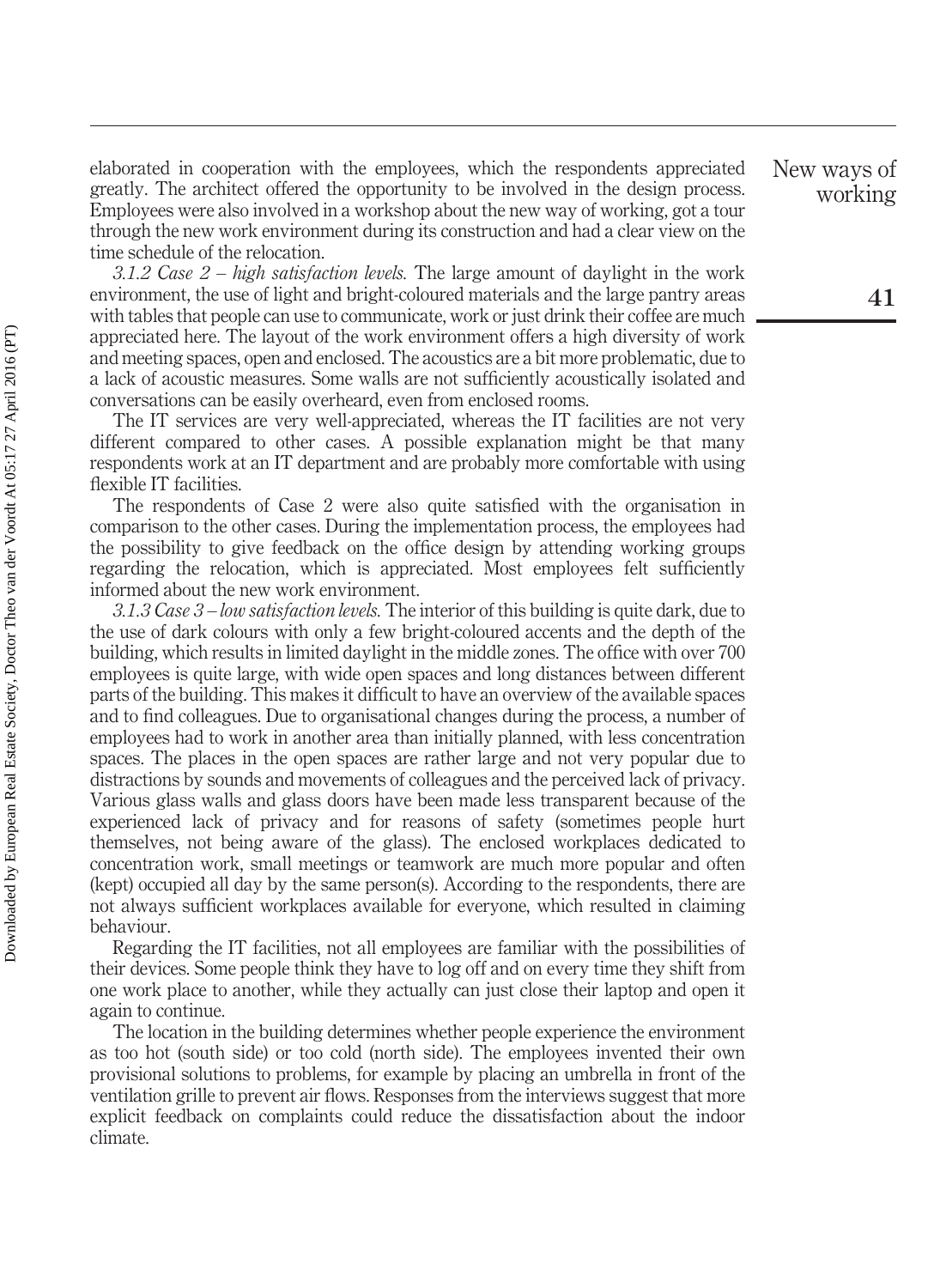elaborated in cooperation with the employees, which the respondents appreciated greatly. The architect offered the opportunity to be involved in the design process. Employees were also involved in a workshop about the new way of working, got a tour through the new work environment during its construction and had a clear view on the time schedule of the relocation.

*3.1.2 Case 2 – high satisfaction levels.* The large amount of daylight in the work environment, the use of light and bright-coloured materials and the large pantry areas with tables that people can use to communicate, work or just drink their coffee are much appreciated here. The layout of the work environment offers a high diversity of work and meeting spaces, open and enclosed. The acoustics are a bit more problematic, due to a lack of acoustic measures. Some walls are not sufficiently acoustically isolated and conversations can be easily overheard, even from enclosed rooms.

The IT services are very well-appreciated, whereas the IT facilities are not very different compared to other cases. A possible explanation might be that many respondents work at an IT department and are probably more comfortable with using flexible IT facilities.

The respondents of Case 2 were also quite satisfied with the organisation in comparison to the other cases. During the implementation process, the employees had the possibility to give feedback on the office design by attending working groups regarding the relocation, which is appreciated. Most employees felt sufficiently informed about the new work environment.

*3.1.3 Case 3 – low satisfaction levels.* The interior of this building is quite dark, due to the use of dark colours with only a few bright-coloured accents and the depth of the building, which results in limited daylight in the middle zones. The office with over 700 employees is quite large, with wide open spaces and long distances between different parts of the building. This makes it difficult to have an overview of the available spaces and to find colleagues. Due to organisational changes during the process, a number of employees had to work in another area than initially planned, with less concentration spaces. The places in the open spaces are rather large and not very popular due to distractions by sounds and movements of colleagues and the perceived lack of privacy. Various glass walls and glass doors have been made less transparent because of the experienced lack of privacy and for reasons of safety (sometimes people hurt themselves, not being aware of the glass). The enclosed workplaces dedicated to concentration work, small meetings or teamwork are much more popular and often (kept) occupied all day by the same person(s). According to the respondents, there are not always sufficient workplaces available for everyone, which resulted in claiming behaviour.

Regarding the IT facilities, not all employees are familiar with the possibilities of their devices. Some people think they have to log off and on every time they shift from one work place to another, while they actually can just close their laptop and open it again to continue.

The location in the building determines whether people experience the environment as too hot (south side) or too cold (north side). The employees invented their own provisional solutions to problems, for example by placing an umbrella in front of the ventilation grille to prevent air flows. Responses from the interviews suggest that more explicit feedback on complaints could reduce the dissatisfaction about the indoor climate.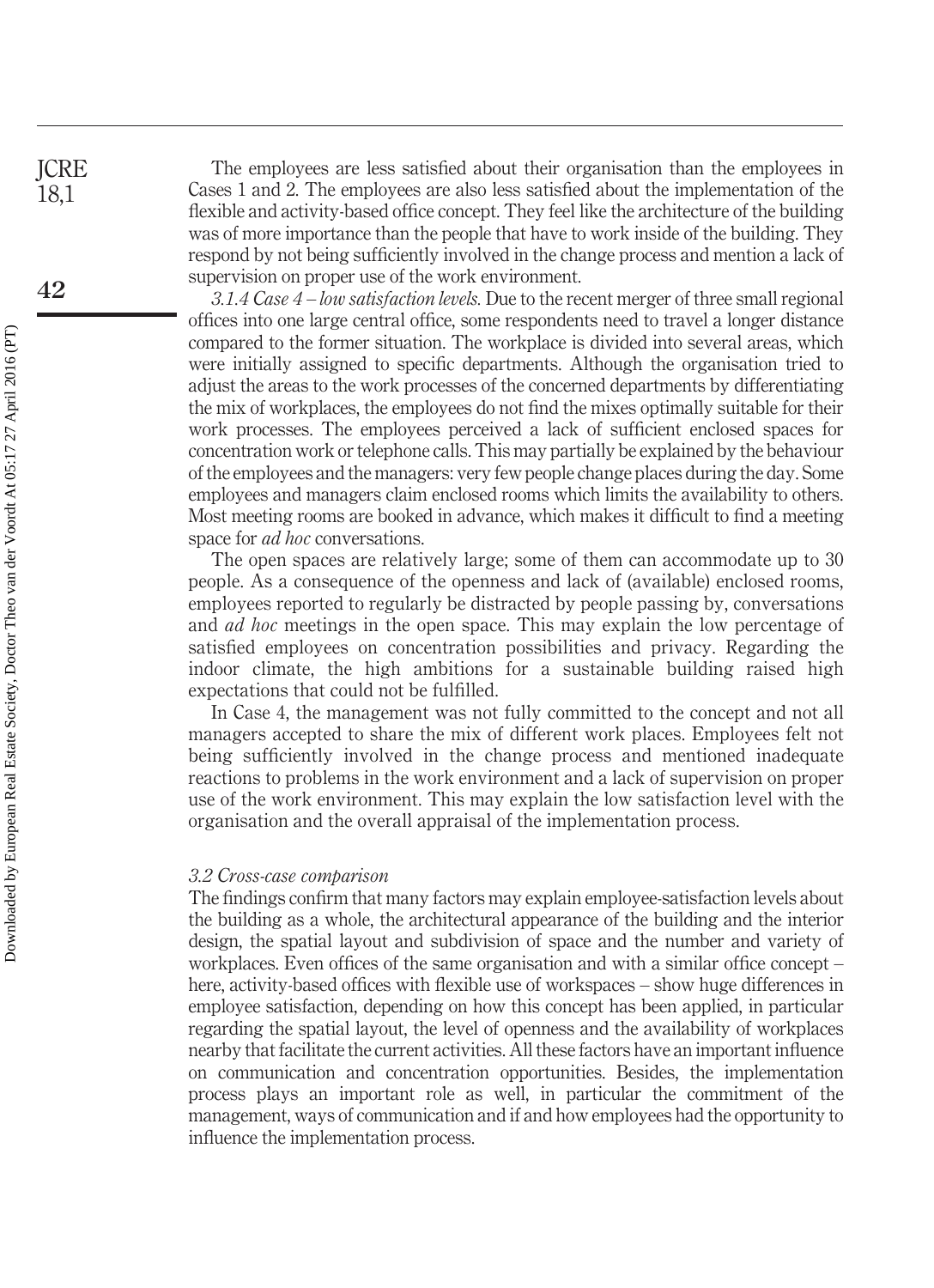The employees are less satisfied about their organisation than the employees in Cases 1 and 2. The employees are also less satisfied about the implementation of the flexible and activity-based office concept. They feel like the architecture of the building was of more importance than the people that have to work inside of the building. They respond by not being sufficiently involved in the change process and mention a lack of supervision on proper use of the work environment.

*3.1.4 Case 4 – low satisfaction levels.* Due to the recent merger of three small regional offices into one large central office, some respondents need to travel a longer distance compared to the former situation. The workplace is divided into several areas, which were initially assigned to specific departments. Although the organisation tried to adjust the areas to the work processes of the concerned departments by differentiating the mix of workplaces, the employees do not find the mixes optimally suitable for their work processes. The employees perceived a lack of sufficient enclosed spaces for concentration work or telephone calls. This may partially be explained by the behaviour of the employees and the managers: very few people change places during the day. Some employees and managers claim enclosed rooms which limits the availability to others. Most meeting rooms are booked in advance, which makes it difficult to find a meeting space for *ad hoc* conversations.

The open spaces are relatively large; some of them can accommodate up to 30 people. As a consequence of the openness and lack of (available) enclosed rooms, employees reported to regularly be distracted by people passing by, conversations and *ad hoc* meetings in the open space. This may explain the low percentage of satisfied employees on concentration possibilities and privacy. Regarding the indoor climate, the high ambitions for a sustainable building raised high expectations that could not be fulfilled.

In Case 4, the management was not fully committed to the concept and not all managers accepted to share the mix of different work places. Employees felt not being sufficiently involved in the change process and mentioned inadequate reactions to problems in the work environment and a lack of supervision on proper use of the work environment. This may explain the low satisfaction level with the organisation and the overall appraisal of the implementation process.

#### *3.2 Cross-case comparison*

The findings confirm that many factors may explain employee-satisfaction levels about the building as a whole, the architectural appearance of the building and the interior design, the spatial layout and subdivision of space and the number and variety of workplaces. Even offices of the same organisation and with a similar office concept – here, activity-based offices with flexible use of workspaces – show huge differences in employee satisfaction, depending on how this concept has been applied, in particular regarding the spatial layout, the level of openness and the availability of workplaces nearby that facilitate the current activities. All these factors have an important influence on communication and concentration opportunities. Besides, the implementation process plays an important role as well, in particular the commitment of the management, ways of communication and if and how employees had the opportunity to influence the implementation process.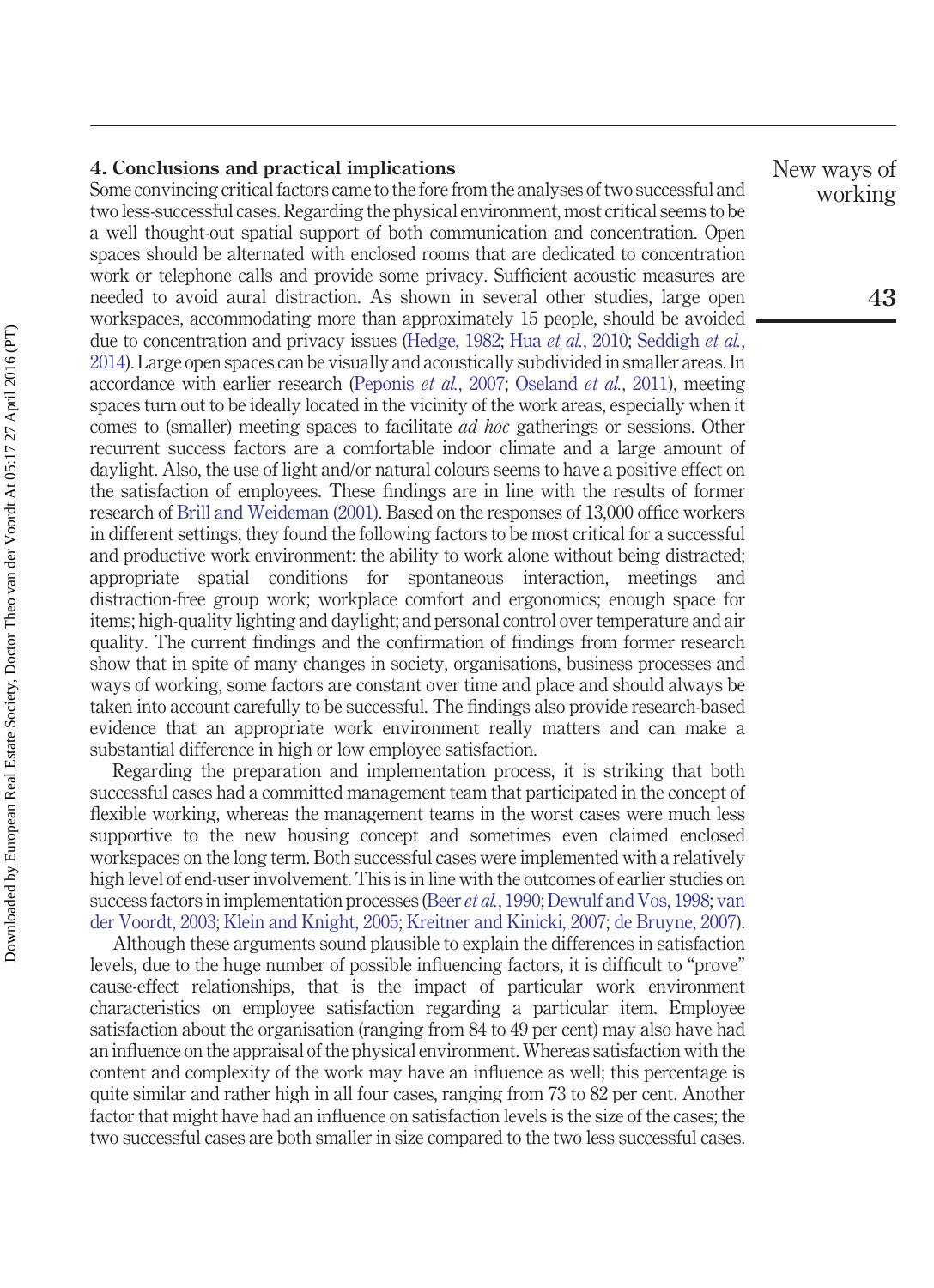## **4. Conclusions and practical implications**

Some convincing critical factors came to the fore from the analyses of two successful and two less-successful cases. Regarding the physical environment, most critical seems to be a well thought-out spatial support of both communication and concentration. Open spaces should be alternated with enclosed rooms that are dedicated to concentration work or telephone calls and provide some privacy. Sufficient acoustic measures are needed to avoid aural distraction. As shown in several other studies, large open workspaces, accommodating more than approximately 15 people, should be avoided due to concentration and privacy issues [\(Hedge, 1982;](#page-16-0) Hua *et al.*[, 2010;](#page-16-15) [Seddigh](#page-16-16) *et al.*, [2014\)](#page-16-16). Large open spaces can be visually and acoustically subdivided in smaller areas. In accordance with earlier research [\(Peponis](#page-16-17) *et al.*, 2007; [Oseland](#page-16-18) *et al.*, 2011), meeting spaces turn out to be ideally located in the vicinity of the work areas, especially when it comes to (smaller) meeting spaces to facilitate *ad hoc* gatherings or sessions. Other recurrent success factors are a comfortable indoor climate and a large amount of daylight. Also, the use of light and/or natural colours seems to have a positive effect on the satisfaction of employees. These findings are in line with the results of former research of [Brill and Weideman \(2001\).](#page-15-20) Based on the responses of 13,000 office workers in different settings, they found the following factors to be most critical for a successful and productive work environment: the ability to work alone without being distracted; appropriate spatial conditions for spontaneous interaction, meetings and distraction-free group work; workplace comfort and ergonomics; enough space for items; high-quality lighting and daylight; and personal control over temperature and air quality. The current findings and the confirmation of findings from former research show that in spite of many changes in society, organisations, business processes and ways of working, some factors are constant over time and place and should always be taken into account carefully to be successful. The findings also provide research-based evidence that an appropriate work environment really matters and can make a substantial difference in high or low employee satisfaction.

Regarding the preparation and implementation process, it is striking that both successful cases had a committed management team that participated in the concept of flexible working, whereas the management teams in the worst cases were much less supportive to the new housing concept and sometimes even claimed enclosed workspaces on the long term. Both successful cases were implemented with a relatively high level of end-user involvement. This is in line with the outcomes of earlier studies on success factors in implementation processes (Beer *et al.*[, 1990;](#page-15-17) [Dewulf and Vos, 1998;](#page-15-18) [van](#page-16-4) [der Voordt, 2003;](#page-16-4) [Klein and Knight, 2005;](#page-16-14) [Kreitner and Kinicki, 2007;](#page-16-11) [de Bruyne, 2007\)](#page-15-15).

Although these arguments sound plausible to explain the differences in satisfaction levels, due to the huge number of possible influencing factors, it is difficult to "prove" cause-effect relationships, that is the impact of particular work environment characteristics on employee satisfaction regarding a particular item. Employee satisfaction about the organisation (ranging from 84 to 49 per cent) may also have had an influence on the appraisal of the physical environment. Whereas satisfaction with the content and complexity of the work may have an influence as well; this percentage is quite similar and rather high in all four cases, ranging from 73 to 82 per cent. Another factor that might have had an influence on satisfaction levels is the size of the cases; the two successful cases are both smaller in size compared to the two less successful cases.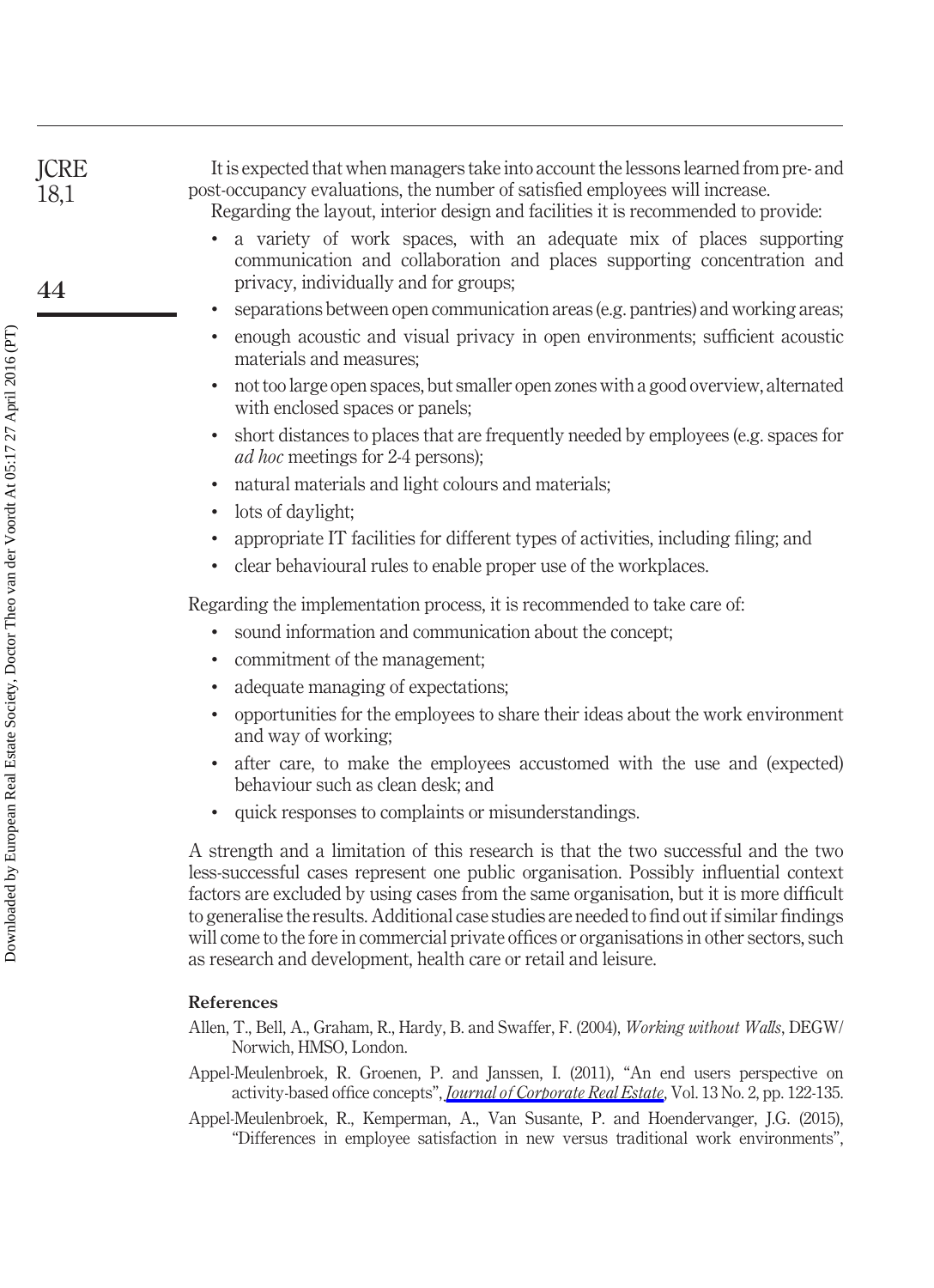| It is expected that when managers take into account the lessons learned from pre- and<br>post-occupancy evaluations, the number of satisfied employees will increase.<br>Regarding the layout, interior design and facilities it is recommended to provide:                                                                                                                                                                                                                                                                                 |
|---------------------------------------------------------------------------------------------------------------------------------------------------------------------------------------------------------------------------------------------------------------------------------------------------------------------------------------------------------------------------------------------------------------------------------------------------------------------------------------------------------------------------------------------|
| a variety of work spaces, with an adequate mix of places supporting<br>communication and collaboration and places supporting concentration and<br>privacy, individually and for groups;                                                                                                                                                                                                                                                                                                                                                     |
| separations between open communication areas (e.g. pantries) and working areas;                                                                                                                                                                                                                                                                                                                                                                                                                                                             |
| enough acoustic and visual privacy in open environments; sufficient acoustic<br>materials and measures;                                                                                                                                                                                                                                                                                                                                                                                                                                     |
| not too large open spaces, but smaller open zones with a good overview, alternated<br>with enclosed spaces or panels;                                                                                                                                                                                                                                                                                                                                                                                                                       |
| short distances to places that are frequently needed by employees (e.g. spaces for<br>$\bullet$<br><i>ad hoc</i> meetings for 2-4 persons);                                                                                                                                                                                                                                                                                                                                                                                                 |
| natural materials and light colours and materials;<br>$\bullet$<br>lots of daylight;<br>$\bullet$                                                                                                                                                                                                                                                                                                                                                                                                                                           |
| appropriate IT facilities for different types of activities, including filing; and<br>$\bullet$<br>clear behavioural rules to enable proper use of the workplaces.                                                                                                                                                                                                                                                                                                                                                                          |
| Regarding the implementation process, it is recommended to take care of:<br>sound information and communication about the concept;<br>$\bullet$<br>commitment of the management;<br>adequate managing of expectations;<br>٠                                                                                                                                                                                                                                                                                                                 |
| opportunities for the employees to share their ideas about the work environment<br>and way of working;                                                                                                                                                                                                                                                                                                                                                                                                                                      |
| after care, to make the employees accustomed with the use and (expected)<br>$\bullet$<br>behaviour such as clean desk; and                                                                                                                                                                                                                                                                                                                                                                                                                  |
| quick responses to complaints or misunderstandings.<br>$\bullet$                                                                                                                                                                                                                                                                                                                                                                                                                                                                            |
| A strength and a limitation of this research is that the two successful and the two<br>less-successful cases represent one public organisation. Possibly influential context<br>factors are excluded by using cases from the same organisation, but it is more difficult<br>to generalise the results. Additional case studies are needed to find out if similar findings<br>will come to the fore in commercial private offices or organisations in other sectors, such<br>as research and development, health care or retail and leisure. |
|                                                                                                                                                                                                                                                                                                                                                                                                                                                                                                                                             |

## **References**

- <span id="page-14-0"></span>Allen, T., Bell, A., Graham, R., Hardy, B. and Swaffer, F. (2004), *Working without Walls*, DEGW/ Norwich, HMSO, London.
- <span id="page-14-1"></span>Appel-Meulenbroek, R. Groenen, P. and Janssen, I. (2011), "An end users perspective on activity-based office concepts", *[Journal of Corporate Real Estate](http://www.emeraldinsight.com/action/showLinks?system=10.1108%2F14630011111136830)*, Vol. 13 No. 2, pp. 122-135.
- <span id="page-14-2"></span>Appel-Meulenbroek, R., Kemperman, A., Van Susante, P. and Hoendervanger, J.G. (2015), "Differences in employee satisfaction in new versus traditional work environments",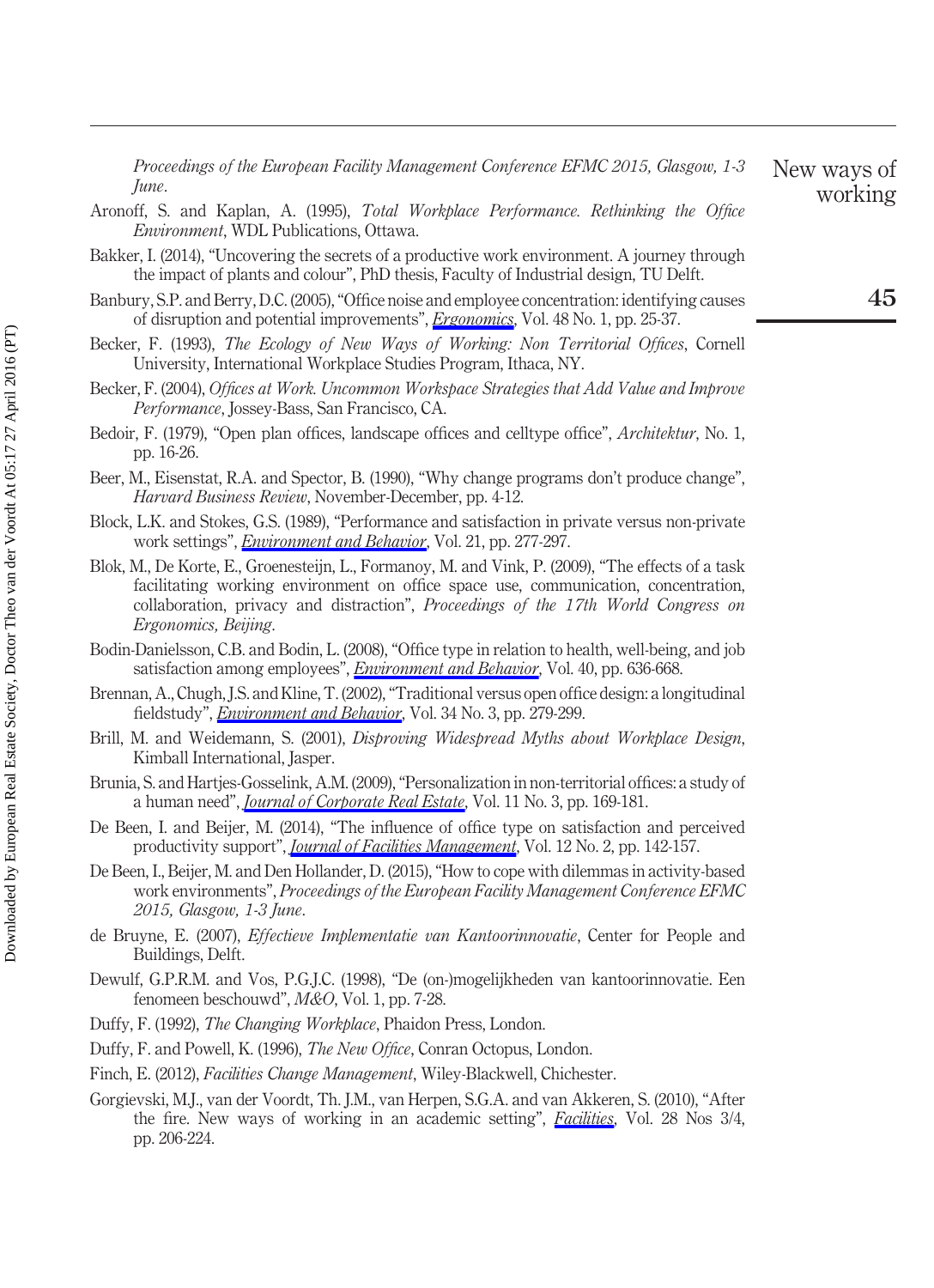*Proceedings of the European Facility Management Conference EFMC 2015, Glasgow, 1-3 June*. New ways of working

- <span id="page-15-7"></span>Aronoff, S. and Kaplan, A. (1995), *Total Workplace Performance. Rethinking the Office Environment*, WDL Publications, Ottawa.
- <span id="page-15-10"></span>Bakker, I. (2014), "Uncovering the secrets of a productive work environment. A journey through the impact of plants and colour", PhD thesis, Faculty of Industrial design, TU Delft.
- <span id="page-15-3"></span>Banbury, S.P. and Berry, D.C. (2005), "Office noise and employee concentration: identifying causes of disruption and potential improvements", *[Ergonomics](http://www.emeraldinsight.com/action/showLinks?crossref=10.1080%2F00140130412331311390&isi=000225452200003)*, Vol. 48 No. 1, pp. 25-37.
- <span id="page-15-6"></span>Becker, F. (1993), *The Ecology of New Ways of Working: Non Territorial Offices*, Cornell University, International Workplace Studies Program, Ithaca, NY.
- <span id="page-15-4"></span>Becker, F. (2004), *Offices at Work. Uncommon Workspace Strategies that Add Value and Improve Performance*, Jossey-Bass, San Francisco, CA.
- <span id="page-15-0"></span>Bedoir, F. (1979), "Open plan offices, landscape offices and celltype office", *Architektur*, No. 1, pp. 16-26.
- <span id="page-15-17"></span>Beer, M., Eisenstat, R.A. and Spector, B. (1990), "Why change programs don't produce change", *Harvard Business Review*, November-December, pp. 4-12.
- <span id="page-15-1"></span>Block, L.K. and Stokes, G.S. (1989), "Performance and satisfaction in private versus non-private work settings", *[Environment and Behavior](http://www.emeraldinsight.com/action/showLinks?crossref=10.1177%2F0013916589213003&isi=A1989U361300003)*, Vol. 21, pp. 277-297.
- <span id="page-15-11"></span>Blok, M., De Korte, E., Groenesteijn, L., Formanoy, M. and Vink, P. (2009), "The effects of a task facilitating working environment on office space use, communication, concentration, collaboration, privacy and distraction", *Proceedings of the 17th World Congress on Ergonomics, Beijing*.
- <span id="page-15-9"></span>Bodin-Danielsson, C.B. and Bodin, L. (2008), "Office type in relation to health, well-being, and job satisfaction among employees", *[Environment and Behavior](http://www.emeraldinsight.com/action/showLinks?crossref=10.1177%2F0013916507307459&isi=000259301500003)*, Vol. 40, pp. 636-668.
- <span id="page-15-2"></span>Brennan, A., Chugh, J.S. and Kline, T. (2002), "Traditional versus open office design: a longitudinal fieldstudy", *[Environment and Behavior](http://www.emeraldinsight.com/action/showLinks?crossref=10.1177%2F0013916502034003001&isi=000174930300001)*, Vol. 34 No. 3, pp. 279-299.
- <span id="page-15-20"></span>Brill, M. and Weidemann, S. (2001), *Disproving Widespread Myths about Workplace Design*, Kimball International, Jasper.
- <span id="page-15-14"></span>Brunia, S. and Hartjes-Gosselink, A.M. (2009), "Personalization in non-territorial offices: a study of a human need", *[Journal of Corporate Real Estate](http://www.emeraldinsight.com/action/showLinks?system=10.1108%2F14630010910985922)*, Vol. 11 No. 3, pp. 169-181.
- <span id="page-15-13"></span>De Been, I. and Beijer, M. (2014), "The influence of office type on satisfaction and perceived productivity support", *[Journal of Facilities Management](http://www.emeraldinsight.com/action/showLinks?system=10.1108%2FJFM-02-2013-0011)*, Vol. 12 No. 2, pp. 142-157.
- <span id="page-15-19"></span>De Been, I., Beijer, M. and Den Hollander, D. (2015), "How to cope with dilemmas in activity-based work environments", *Proceedings of the European Facility Management Conference EFMC 2015, Glasgow, 1-3 June*.
- <span id="page-15-15"></span>de Bruyne, E. (2007), *Effectieve Implementatie van Kantoorinnovatie*, Center for People and Buildings, Delft.
- <span id="page-15-18"></span>Dewulf, G.P.R.M. and Vos, P.G.J.C. (1998), "De (on-)mogelijkheden van kantoorinnovatie. Een fenomeen beschouwd", *M&O*, Vol. 1, pp. 7-28.
- <span id="page-15-8"></span><span id="page-15-5"></span>Duffy, F. (1992), *The Changing Workplace*, Phaidon Press, London.
- Duffy, F. and Powell, K. (1996), *The New Office*, Conran Octopus, London.
- <span id="page-15-16"></span><span id="page-15-12"></span>Finch, E. (2012), *Facilities Change Management*, Wiley-Blackwell, Chichester.
- Gorgievski, M.J., van der Voordt, Th. J.M., van Herpen, S.G.A. and van Akkeren, S. (2010), "After the fire. New ways of working in an academic setting", *[Facilities](http://www.emeraldinsight.com/action/showLinks?system=10.1108%2F02632771011023159)*, Vol. 28 Nos 3/4, pp. 206-224.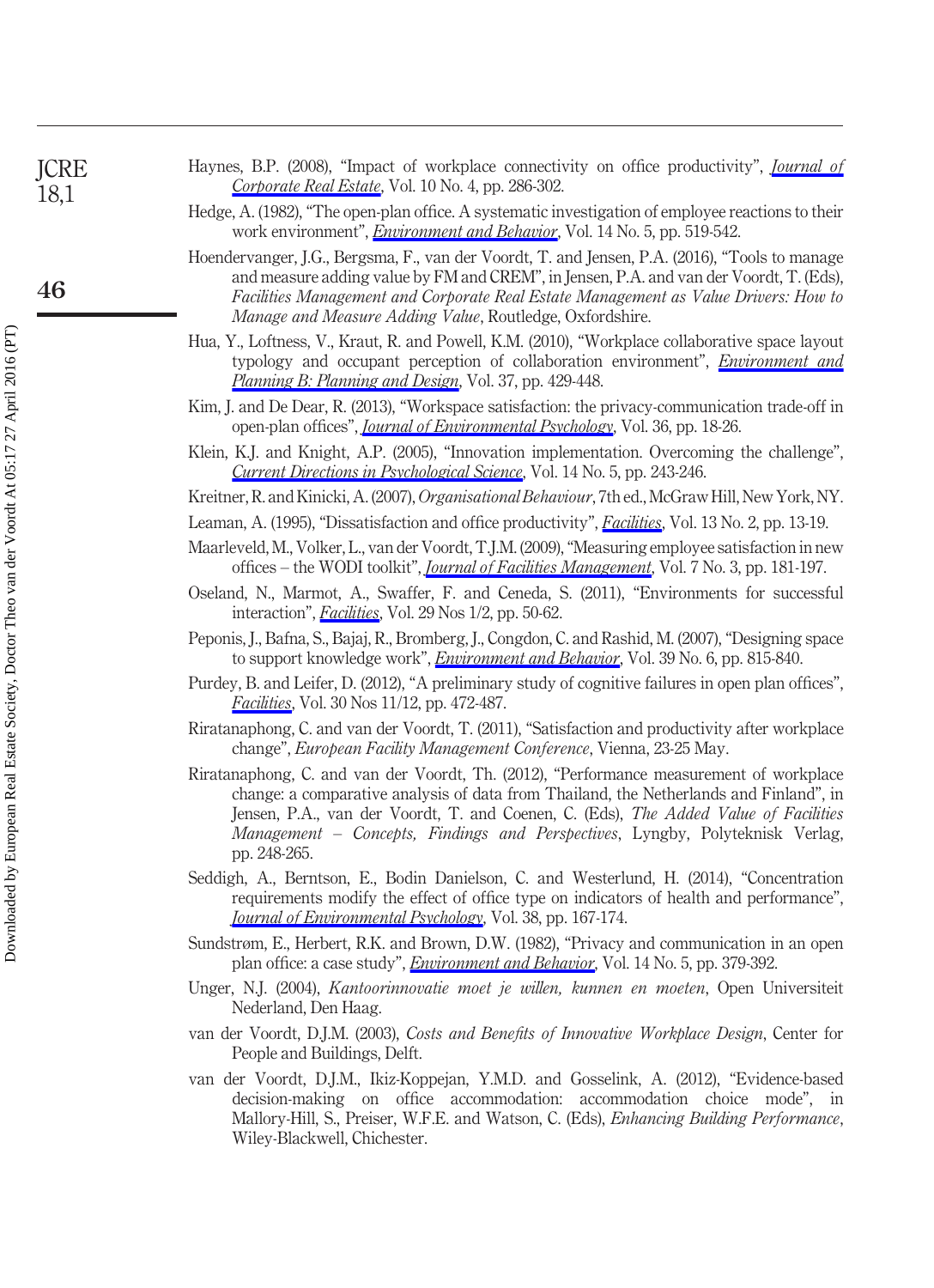<span id="page-16-5"></span><span id="page-16-0"></span>

| <b>ICRE</b><br>18,1 | Haynes, B.P. (2008), "Impact of workplace connectivity on office productivity", <i>Journal of</i><br>Corporate Real Estate, Vol. 10 No. 4, pp. 286-302.                                                                                                                                                                                             |
|---------------------|-----------------------------------------------------------------------------------------------------------------------------------------------------------------------------------------------------------------------------------------------------------------------------------------------------------------------------------------------------|
|                     | Hedge, A. (1982), "The open-plan office. A systematic investigation of employee reactions to their<br>work environment", <i>Environment and Behavior</i> , Vol. 14 No. 5, pp. 519-542.                                                                                                                                                              |
| 46                  | Hoendervanger, J.G., Bergsma, F., van der Voordt, T. and Jensen, P.A. (2016), "Tools to manage<br>and measure adding value by FM and CREM", in Jensen, P.A. and van der Voordt, T. (Eds).<br>Facilities Management and Corporate Real Estate Management as Value Drivers: How to<br><i>Manage and Measure Adding Value, Routledge, Oxfordshire.</i> |

- <span id="page-16-15"></span><span id="page-16-12"></span>Hua, Y., Loftness, V., Kraut, R. and Powell, K.M. (2010), "Workplace collaborative space layout typology and occupant perception of collaboration environment", *[Environment and](http://www.emeraldinsight.com/action/showLinks?crossref=10.1068%2Fb35011&isi=000279236000004) [Planning B: Planning and Design](http://www.emeraldinsight.com/action/showLinks?crossref=10.1068%2Fb35011&isi=000279236000004)*, Vol. 37, pp. 429-448.
- <span id="page-16-3"></span>Kim, J. and De Dear, R. (2013), "Workspace satisfaction: the privacy-communication trade-off in open-plan offices", *[Journal of Environmental Psychology](http://www.emeraldinsight.com/action/showLinks?crossref=10.1016%2Fj.jenvp.2013.06.007&isi=000330335900003)*, Vol. 36, pp. 18-26.
- <span id="page-16-14"></span>Klein, K.J. and Knight, A.P. (2005), "Innovation implementation. Overcoming the challenge", *[Current Directions in Psychological Science](http://www.emeraldinsight.com/action/showLinks?crossref=10.1111%2Fj.0963-7214.2005.00373.x&isi=000233231600004)*, Vol. 14 No. 5, pp. 243-246.
- <span id="page-16-11"></span>Kreitner, R. and Kinicki, A. (2007),*Organisational Behaviour*, 7th ed., McGraw Hill, New York, NY.
- <span id="page-16-7"></span>Leaman, A. (1995), "Dissatisfaction and office productivity", *[Facilities](http://www.emeraldinsight.com/action/showLinks?system=10.1108%2F02632779510078120)*, Vol. 13 No. 2, pp. 13-19.
- <span id="page-16-8"></span>Maarleveld, M., Volker, L., van der Voordt, T.J.M. (2009), "Measuring employee satisfaction in new offices – the WODI toolkit", *[Journal of Facilities Management](http://www.emeraldinsight.com/action/showLinks?system=10.1108%2F14725960910971469)*, Vol. 7 No. 3, pp. 181-197.
- <span id="page-16-18"></span>Oseland, N., Marmot, A., Swaffer, F. and Ceneda, S. (2011), "Environments for successful interaction", *[Facilities](http://www.emeraldinsight.com/action/showLinks?system=10.1108%2F02632771111101322)*, Vol. 29 Nos 1/2, pp. 50-62.
- <span id="page-16-17"></span>Peponis, J., Bafna, S., Bajaj, R., Bromberg, J., Congdon, C. and Rashid, M. (2007), "Designing space to support knowledge work", *[Environment and Behavior](http://www.emeraldinsight.com/action/showLinks?crossref=10.1177%2F0013916506297216&isi=000250557200005)*, Vol. 39 No. 6, pp. 815-840.
- <span id="page-16-2"></span>Purdey, B. and Leifer, D. (2012), "A preliminary study of cognitive failures in open plan offices", *[Facilities](http://www.emeraldinsight.com/action/showLinks?system=10.1108%2F02632771211252315)*, Vol. 30 Nos 11/12, pp. 472-487.
- <span id="page-16-9"></span>Riratanaphong, C. and van der Voordt, T. (2011), "Satisfaction and productivity after workplace change", *European Facility Management Conference*, Vienna, 23-25 May.
- <span id="page-16-10"></span>Riratanaphong, C. and van der Voordt, Th. (2012), "Performance measurement of workplace change: a comparative analysis of data from Thailand, the Netherlands and Finland", in Jensen, P.A., van der Voordt, T. and Coenen, C. (Eds), *The Added Value of Facilities Management – Concepts, Findings and Perspectives*, Lyngby, Polyteknisk Verlag, pp. 248-265.
- <span id="page-16-16"></span>Seddigh, A., Berntson, E., Bodin Danielson, C. and Westerlund, H. (2014), "Concentration requirements modify the effect of office type on indicators of health and performance", *[Journal of Environmental Psychology](http://www.emeraldinsight.com/action/showLinks?crossref=10.1016%2Fj.jenvp.2014.01.009&isi=000336874600018)*, Vol. 38, pp. 167-174.
- <span id="page-16-1"></span>Sundstrøm, E., Herbert, R.K. and Brown, D.W. (1982), "Privacy and communication in an open plan office: a case study", *[Environment and Behavior](http://www.emeraldinsight.com/action/showLinks?crossref=10.1177%2F0013916582143007&isi=A1982NS58900007)*, Vol. 14 No. 5, pp. 379-392.
- <span id="page-16-13"></span>Unger, N.J. (2004), *Kantoorinnovatie moet je willen, kunnen en moeten*, Open Universiteit Nederland, Den Haag.
- <span id="page-16-4"></span>van der Voordt, D.J.M. (2003), *Costs and Benefits of Innovative Workplace Design*, Center for People and Buildings, Delft.
- <span id="page-16-6"></span>van der Voordt, D.J.M., Ikiz-Koppejan, Y.M.D. and Gosselink, A. (2012), "Evidence-based decision-making on office accommodation: accommodation choice mode", in Mallory-Hill, S., Preiser, W.F.E. and Watson, C. (Eds), *Enhancing Building Performance*, Wiley-Blackwell, Chichester.